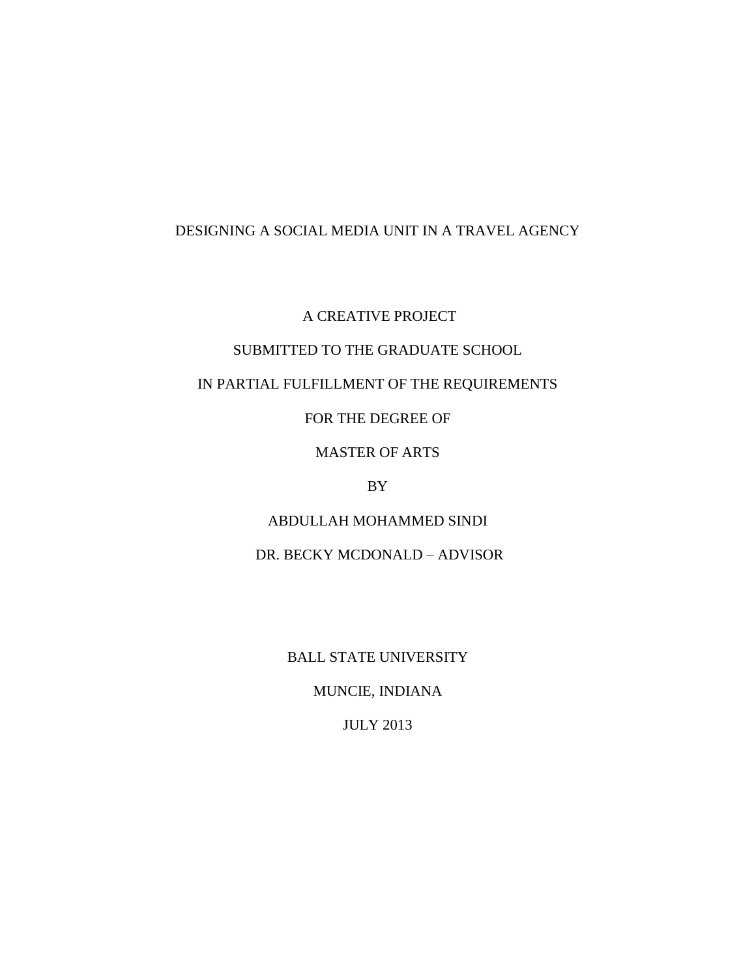# DESIGNING A SOCIAL MEDIA UNIT IN A TRAVEL AGENCY

A CREATIVE PROJECT

# SUBMITTED TO THE GRADUATE SCHOOL

# IN PARTIAL FULFILLMENT OF THE REQUIREMENTS

FOR THE DEGREE OF

MASTER OF ARTS

BY

ABDULLAH MOHAMMED SINDI

DR. BECKY MCDONALD – ADVISOR

BALL STATE UNIVERSITY

MUNCIE, INDIANA

JULY 2013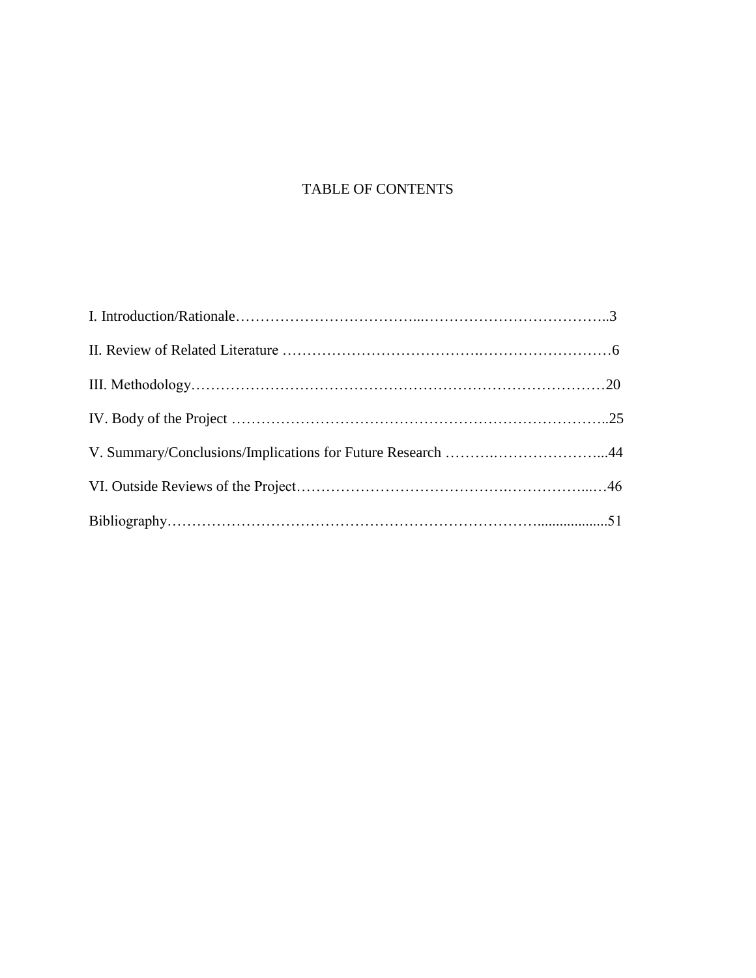# TABLE OF CONTENTS

| V. Summary/Conclusions/Implications for Future Research 44 |  |
|------------------------------------------------------------|--|
|                                                            |  |
|                                                            |  |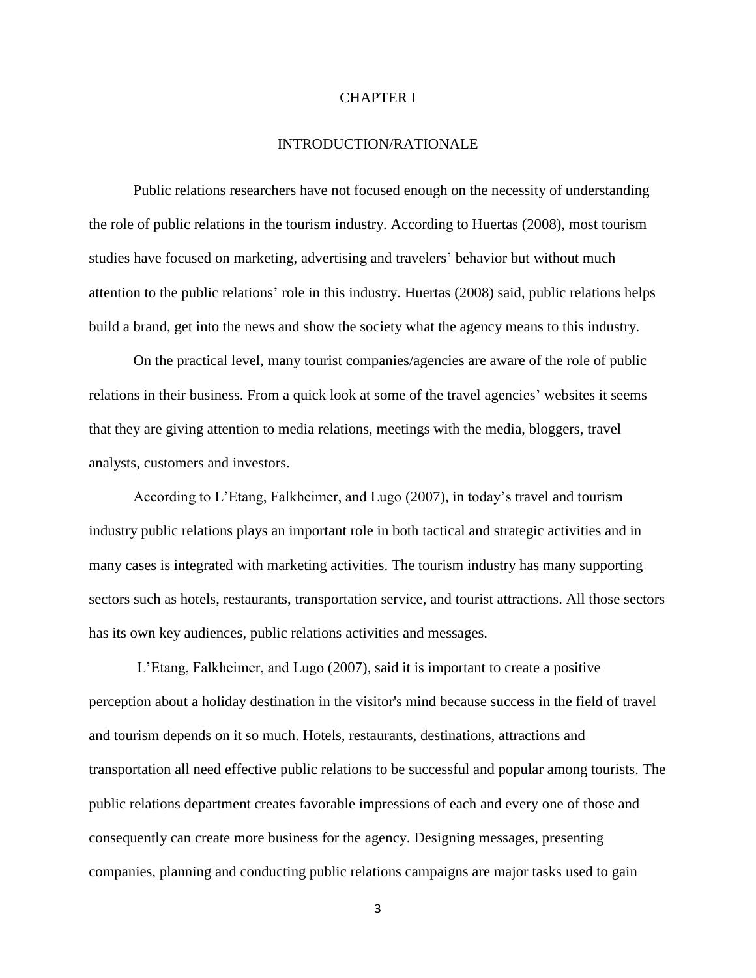#### CHAPTER I

### INTRODUCTION/RATIONALE

Public relations researchers have not focused enough on the necessity of understanding the role of public relations in the tourism industry. According to Huertas (2008), most tourism studies have focused on marketing, advertising and travelers' behavior but without much attention to the public relations' role in this industry. Huertas (2008) said, public relations helps build a brand, get into the news and show the society what the agency means to this industry.

 On the practical level, many tourist companies/agencies are aware of the role of public relations in their business. From a quick look at some of the travel agencies' websites it seems that they are giving attention to media relations, meetings with the media, bloggers, travel analysts, customers and investors.

According to L'Etang, Falkheimer, and Lugo (2007), in today's travel and tourism industry public relations plays an important role in both tactical and strategic activities and in many cases is integrated with marketing activities. The tourism industry has many supporting sectors such as hotels, restaurants, transportation service, and tourist attractions. All those sectors has its own key audiences, public relations activities and messages.

L'Etang, Falkheimer, and Lugo (2007), said it is important to create a positive perception about a holiday destination in the visitor's mind because success in the field of travel and tourism depends on it so much. Hotels, restaurants, destinations, attractions and transportation all need effective public relations to be successful and popular among tourists. The public relations department creates favorable impressions of each and every one of those and consequently can create more business for the agency. Designing messages, presenting companies, planning and conducting public relations campaigns are major tasks used to gain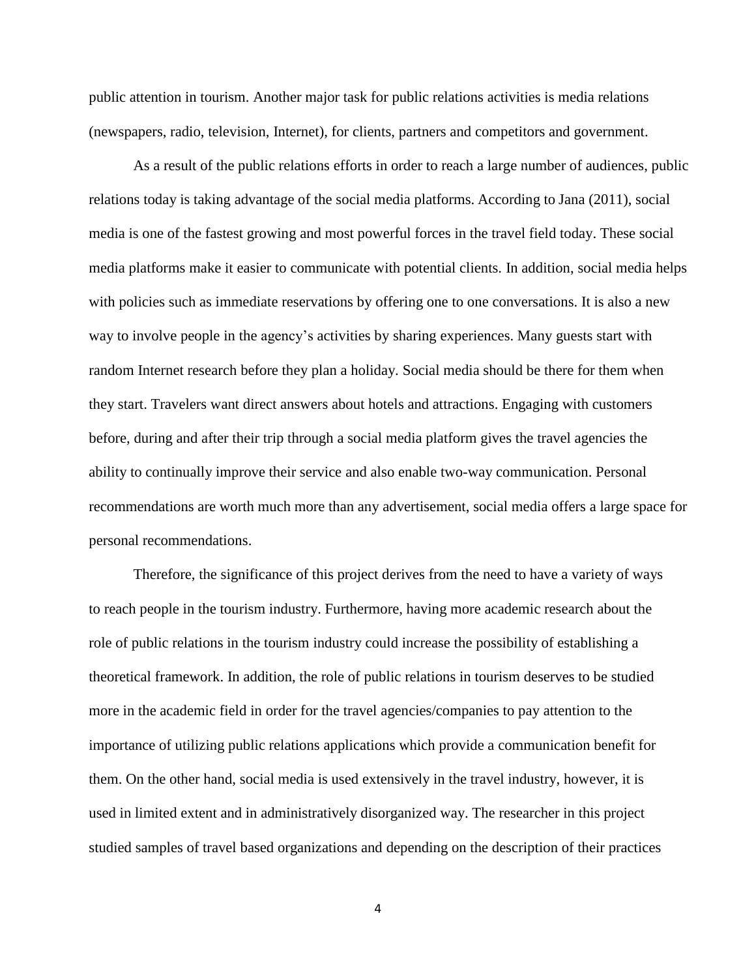public attention in tourism. Another major task for public relations activities is media relations (newspapers, radio, television, Internet), for clients, partners and competitors and government.

As a result of the public relations efforts in order to reach a large number of audiences, public relations today is taking advantage of the social media platforms. According to Jana (2011), social media is one of the fastest growing and most powerful forces in the travel field today. These social media platforms make it easier to communicate with potential clients. In addition, social media helps with policies such as immediate reservations by offering one to one conversations. It is also a new way to involve people in the agency's activities by sharing experiences. Many guests start with random Internet research before they plan a holiday. Social media should be there for them when they start. Travelers want direct answers about hotels and attractions. Engaging with customers before, during and after their trip through a social media platform gives the travel agencies the ability to continually improve their service and also enable two-way communication. Personal recommendations are worth much more than any advertisement, social media offers a large space for personal recommendations.

Therefore, the significance of this project derives from the need to have a variety of ways to reach people in the tourism industry. Furthermore, having more academic research about the role of public relations in the tourism industry could increase the possibility of establishing a theoretical framework. In addition, the role of public relations in tourism deserves to be studied more in the academic field in order for the travel agencies/companies to pay attention to the importance of utilizing public relations applications which provide a communication benefit for them. On the other hand, social media is used extensively in the travel industry, however, it is used in limited extent and in administratively disorganized way. The researcher in this project studied samples of travel based organizations and depending on the description of their practices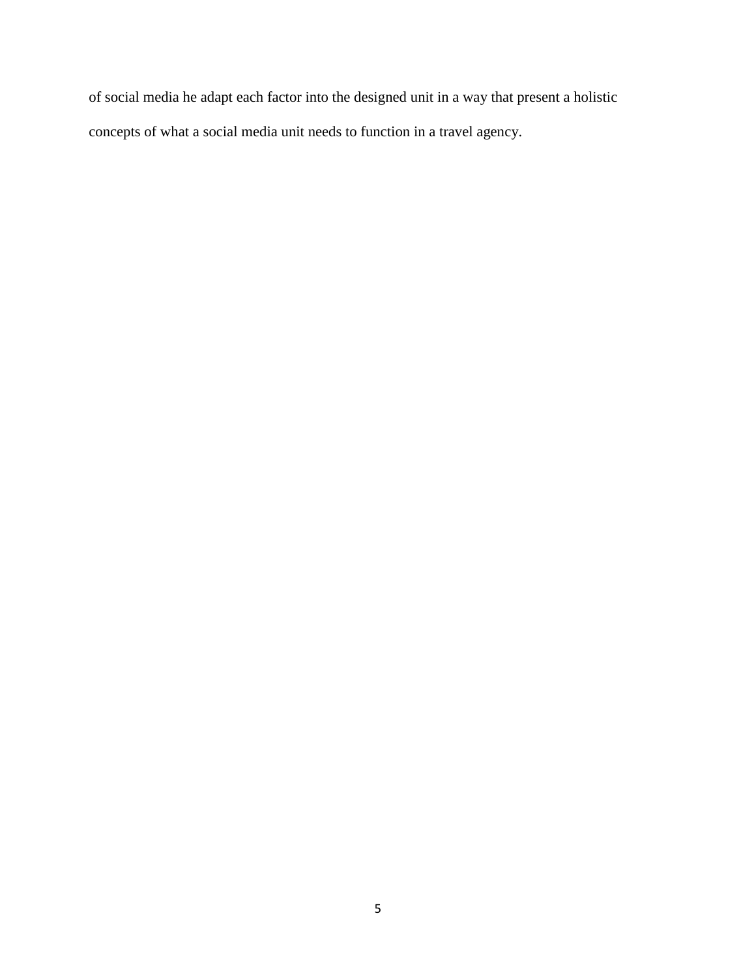of social media he adapt each factor into the designed unit in a way that present a holistic concepts of what a social media unit needs to function in a travel agency.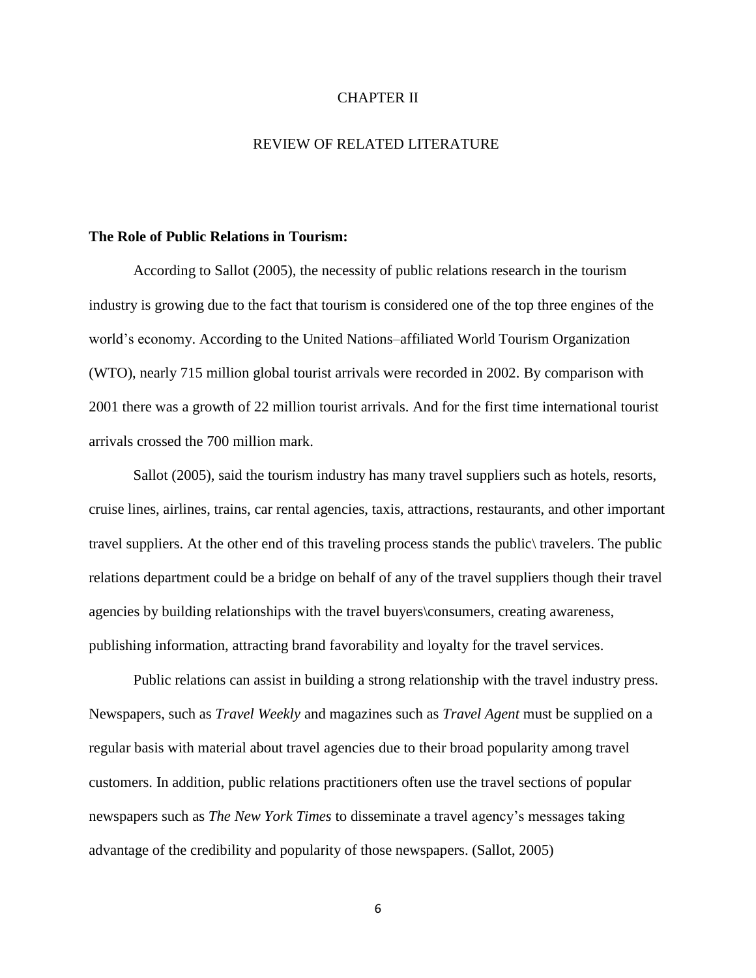#### CHAPTER II

### REVIEW OF RELATED LITERATURE

#### **The Role of Public Relations in Tourism:**

According to Sallot (2005), the necessity of public relations research in the tourism industry is growing due to the fact that tourism is considered one of the top three engines of the world's economy. According to the United Nations–affiliated World Tourism Organization (WTO), nearly 715 million global tourist arrivals were recorded in 2002. By comparison with 2001 there was a growth of 22 million tourist arrivals. And for the first time international tourist arrivals crossed the 700 million mark.

Sallot (2005), said the tourism industry has many travel suppliers such as hotels, resorts, cruise lines, airlines, trains, car rental agencies, taxis, attractions, restaurants, and other important travel suppliers. At the other end of this traveling process stands the public\ travelers. The public relations department could be a bridge on behalf of any of the travel suppliers though their travel agencies by building relationships with the travel buyers\consumers, creating awareness, publishing information, attracting brand favorability and loyalty for the travel services.

Public relations can assist in building a strong relationship with the travel industry press. Newspapers, such as *Travel Weekly* and magazines such as *Travel Agent* must be supplied on a regular basis with material about travel agencies due to their broad popularity among travel customers. In addition, public relations practitioners often use the travel sections of popular newspapers such as *The New York Times* to disseminate a travel agency's messages taking advantage of the credibility and popularity of those newspapers. (Sallot, 2005)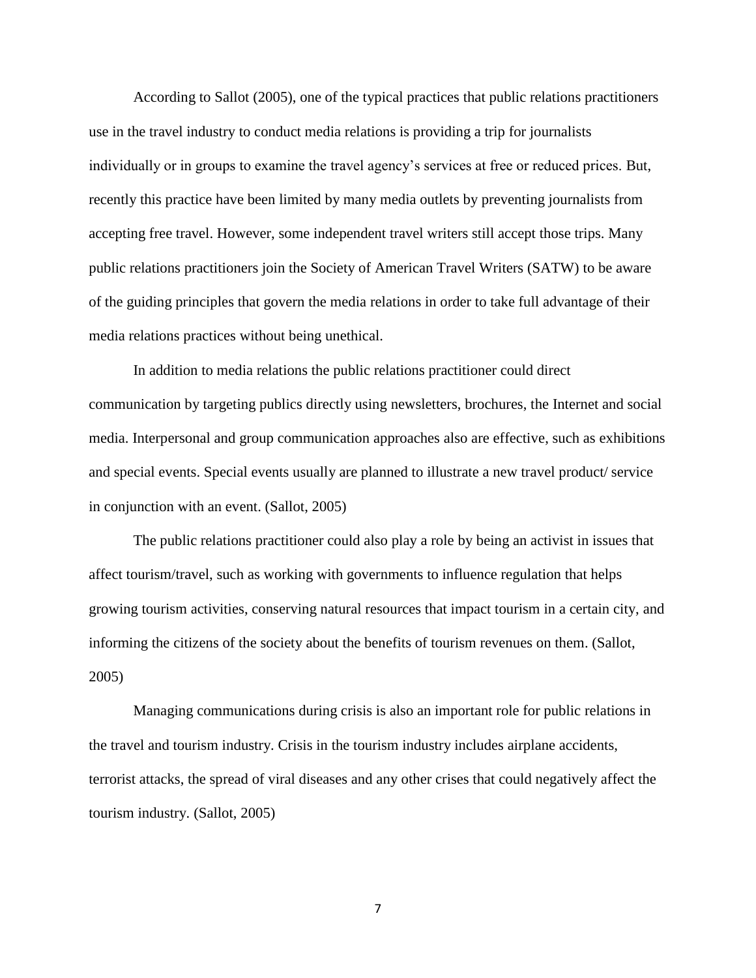According to Sallot (2005), one of the typical practices that public relations practitioners use in the travel industry to conduct media relations is providing a trip for journalists individually or in groups to examine the travel agency's services at free or reduced prices. But, recently this practice have been limited by many media outlets by preventing journalists from accepting free travel. However, some independent travel writers still accept those trips. Many public relations practitioners join the Society of American Travel Writers (SATW) to be aware of the guiding principles that govern the media relations in order to take full advantage of their media relations practices without being unethical.

In addition to media relations the public relations practitioner could direct communication by targeting publics directly using newsletters, brochures, the Internet and social media. Interpersonal and group communication approaches also are effective, such as exhibitions and special events. Special events usually are planned to illustrate a new travel product/ service in conjunction with an event. (Sallot, 2005)

The public relations practitioner could also play a role by being an activist in issues that affect tourism/travel, such as working with governments to influence regulation that helps growing tourism activities, conserving natural resources that impact tourism in a certain city, and informing the citizens of the society about the benefits of tourism revenues on them. (Sallot, 2005)

Managing communications during crisis is also an important role for public relations in the travel and tourism industry. Crisis in the tourism industry includes airplane accidents, terrorist attacks, the spread of viral diseases and any other crises that could negatively affect the tourism industry. (Sallot, 2005)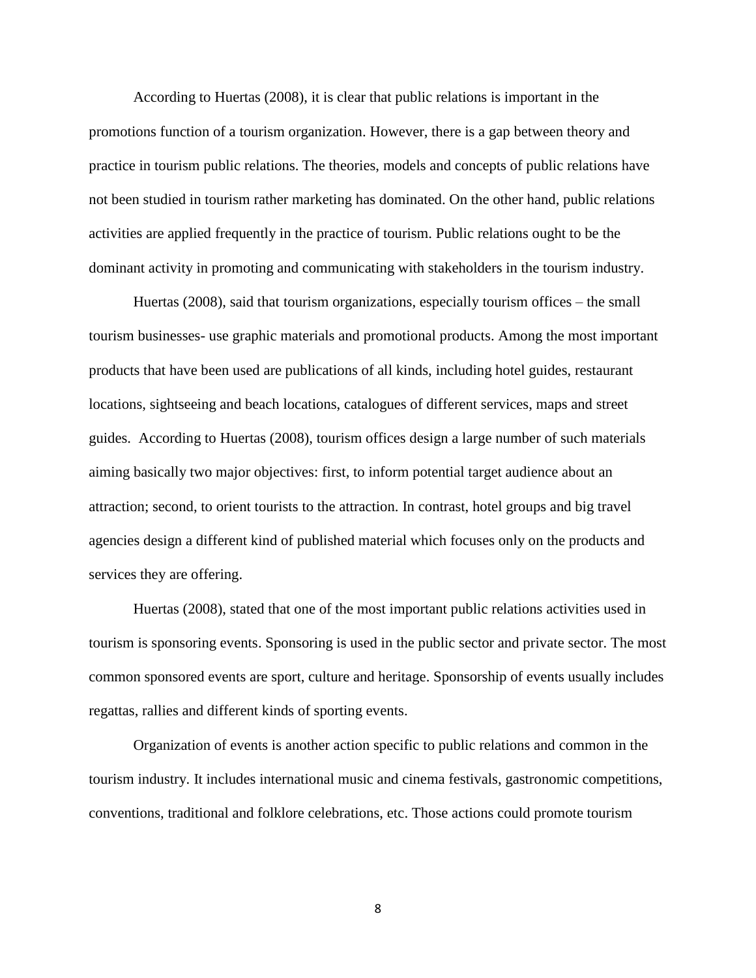According to Huertas (2008), it is clear that public relations is important in the promotions function of a tourism organization. However, there is a gap between theory and practice in tourism public relations. The theories, models and concepts of public relations have not been studied in tourism rather marketing has dominated. On the other hand, public relations activities are applied frequently in the practice of tourism. Public relations ought to be the dominant activity in promoting and communicating with stakeholders in the tourism industry.

Huertas (2008), said that tourism organizations, especially tourism offices – the small tourism businesses- use graphic materials and promotional products. Among the most important products that have been used are publications of all kinds, including hotel guides, restaurant locations, sightseeing and beach locations, catalogues of different services, maps and street guides. According to Huertas (2008), tourism offices design a large number of such materials aiming basically two major objectives: first, to inform potential target audience about an attraction; second, to orient tourists to the attraction. In contrast, hotel groups and big travel agencies design a different kind of published material which focuses only on the products and services they are offering.

Huertas (2008), stated that one of the most important public relations activities used in tourism is sponsoring events. Sponsoring is used in the public sector and private sector. The most common sponsored events are sport, culture and heritage. Sponsorship of events usually includes regattas, rallies and different kinds of sporting events.

Organization of events is another action specific to public relations and common in the tourism industry. It includes international music and cinema festivals, gastronomic competitions, conventions, traditional and folklore celebrations, etc. Those actions could promote tourism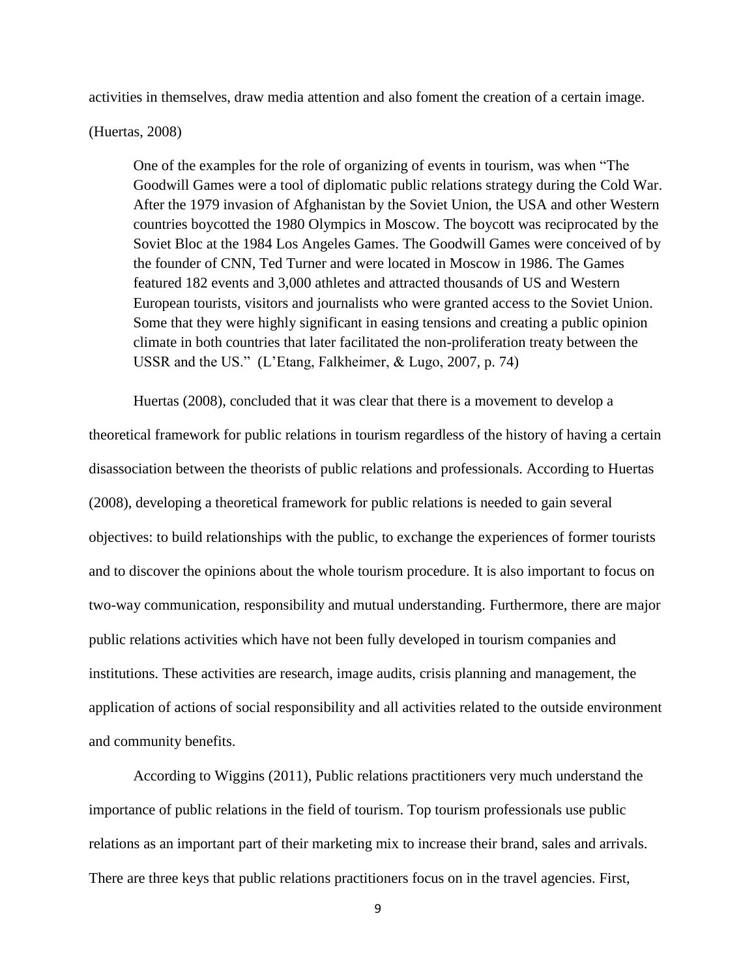activities in themselves, draw media attention and also foment the creation of a certain image.

(Huertas, 2008)

One of the examples for the role of organizing of events in tourism, was when "The Goodwill Games were a tool of diplomatic public relations strategy during the Cold War. After the 1979 invasion of Afghanistan by the Soviet Union, the USA and other Western countries boycotted the 1980 Olympics in Moscow. The boycott was reciprocated by the Soviet Bloc at the 1984 Los Angeles Games. The Goodwill Games were conceived of by the founder of CNN, Ted Turner and were located in Moscow in 1986. The Games featured 182 events and 3,000 athletes and attracted thousands of US and Western European tourists, visitors and journalists who were granted access to the Soviet Union. Some that they were highly significant in easing tensions and creating a public opinion climate in both countries that later facilitated the non-proliferation treaty between the USSR and the US." (L'Etang, Falkheimer, & Lugo, 2007, p. 74)

Huertas (2008), concluded that it was clear that there is a movement to develop a theoretical framework for public relations in tourism regardless of the history of having a certain disassociation between the theorists of public relations and professionals. According to Huertas (2008), developing a theoretical framework for public relations is needed to gain several objectives: to build relationships with the public, to exchange the experiences of former tourists and to discover the opinions about the whole tourism procedure. It is also important to focus on two-way communication, responsibility and mutual understanding. Furthermore, there are major public relations activities which have not been fully developed in tourism companies and institutions. These activities are research, image audits, crisis planning and management, the application of actions of social responsibility and all activities related to the outside environment and community benefits.

According to Wiggins (2011), Public relations practitioners very much understand the importance of public relations in the field of tourism. Top tourism professionals use public relations as an important part of their marketing mix to increase their brand, sales and arrivals. There are three keys that public relations practitioners focus on in the travel agencies. First,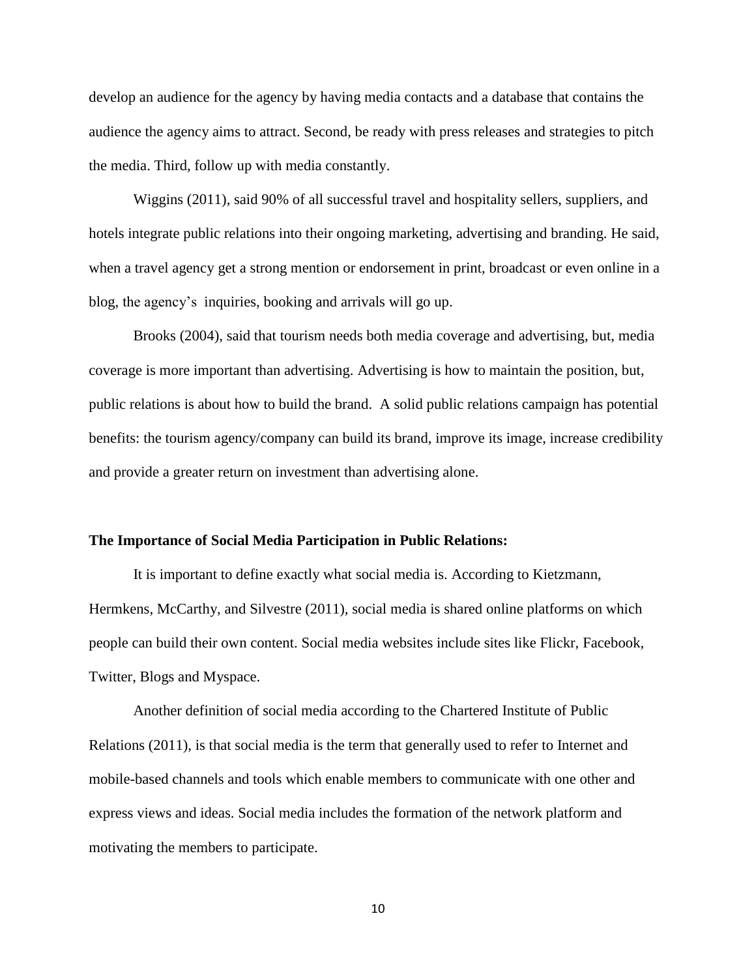develop an audience for the agency by having media contacts and a database that contains the audience the agency aims to attract. Second, be ready with press releases and strategies to pitch the media. Third, follow up with media constantly.

Wiggins (2011), said 90% of all successful travel and hospitality sellers, suppliers, and hotels integrate public relations into their ongoing marketing, advertising and branding. He said, when a travel agency get a strong mention or endorsement in print, broadcast or even online in a blog, the agency's inquiries, booking and arrivals will go up.

Brooks (2004), said that tourism needs both media coverage and advertising, but, media coverage is more important than advertising. Advertising is how to maintain the position, but, public relations is about how to build the brand. A solid public relations campaign has potential benefits: the tourism agency/company can build its brand, improve its image, increase credibility and provide a greater return on investment than advertising alone.

#### **The Importance of Social Media Participation in Public Relations:**

It is important to define exactly what social media is. According to Kietzmann, Hermkens, McCarthy, and Silvestre (2011), social media is shared online platforms on which people can build their own content. Social media websites include sites like Flickr, Facebook, Twitter, Blogs and Myspace.

Another definition of social media according to the Chartered Institute of Public Relations (2011), is that social media is the term that generally used to refer to Internet and mobile-based channels and tools which enable members to communicate with one other and express views and ideas. Social media includes the formation of the network platform and motivating the members to participate.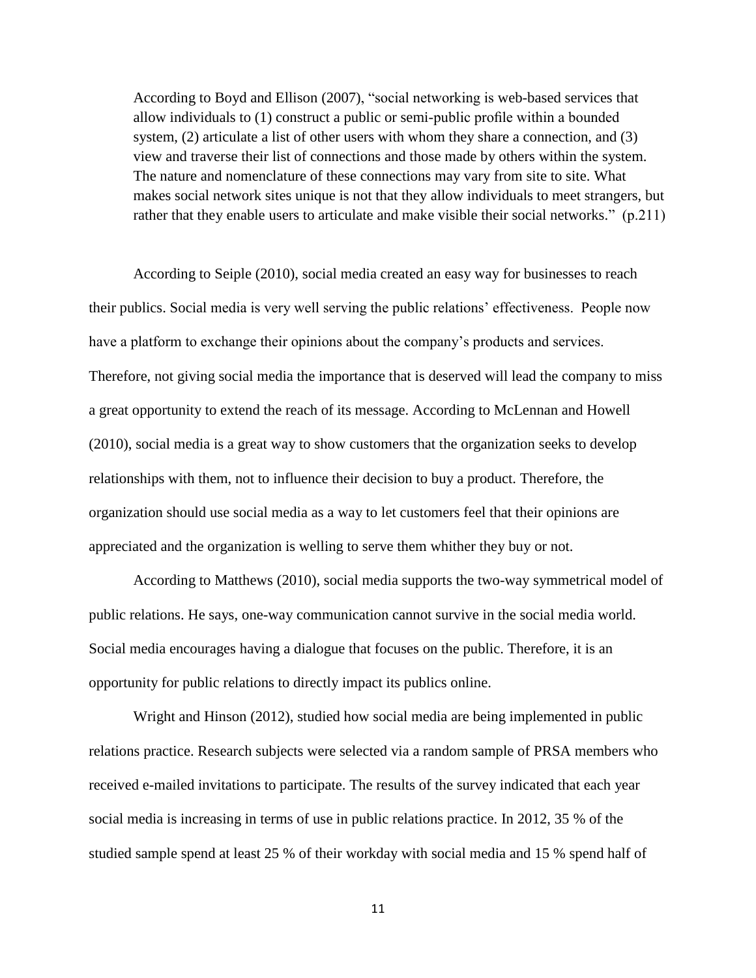According to Boyd and Ellison (2007), "social networking is web-based services that allow individuals to (1) construct a public or semi-public profile within a bounded system, (2) articulate a list of other users with whom they share a connection, and (3) view and traverse their list of connections and those made by others within the system. The nature and nomenclature of these connections may vary from site to site. What makes social network sites unique is not that they allow individuals to meet strangers, but rather that they enable users to articulate and make visible their social networks." (p.211)

According to Seiple (2010), social media created an easy way for businesses to reach their publics. Social media is very well serving the public relations' effectiveness. People now have a platform to exchange their opinions about the company's products and services. Therefore, not giving social media the importance that is deserved will lead the company to miss a great opportunity to extend the reach of its message. According to McLennan and Howell (2010), social media is a great way to show customers that the organization seeks to develop relationships with them, not to influence their decision to buy a product. Therefore, the organization should use social media as a way to let customers feel that their opinions are appreciated and the organization is welling to serve them whither they buy or not.

According to Matthews (2010), social media supports the two-way symmetrical model of public relations. He says, one-way communication cannot survive in the social media world. Social media encourages having a dialogue that focuses on the public. Therefore, it is an opportunity for public relations to directly impact its publics online.

Wright and Hinson (2012), studied how social media are being implemented in public relations practice. Research subjects were selected via a random sample of PRSA members who received e-mailed invitations to participate. The results of the survey indicated that each year social media is increasing in terms of use in public relations practice. In 2012, 35 % of the studied sample spend at least 25 % of their workday with social media and 15 % spend half of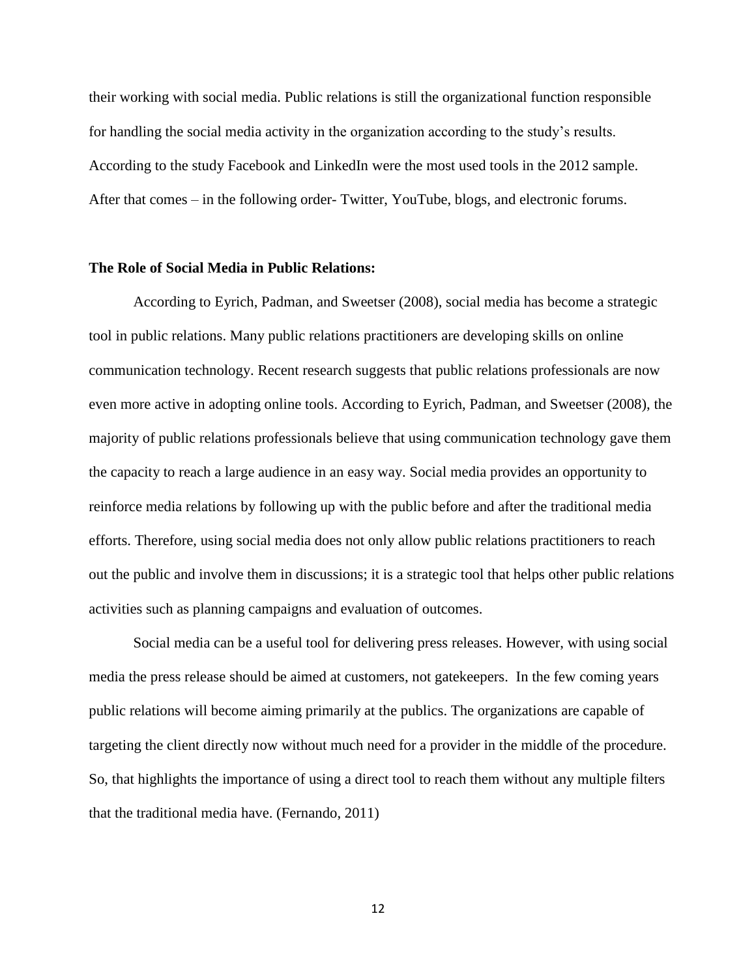their working with social media. Public relations is still the organizational function responsible for handling the social media activity in the organization according to the study's results. According to the study Facebook and LinkedIn were the most used tools in the 2012 sample. After that comes – in the following order- Twitter, YouTube, blogs, and electronic forums.

#### **The Role of Social Media in Public Relations:**

According to Eyrich, Padman, and Sweetser (2008), social media has become a strategic tool in public relations. Many public relations practitioners are developing skills on online communication technology. Recent research suggests that public relations professionals are now even more active in adopting online tools. According to Eyrich, Padman, and Sweetser (2008), the majority of public relations professionals believe that using communication technology gave them the capacity to reach a large audience in an easy way. Social media provides an opportunity to reinforce media relations by following up with the public before and after the traditional media efforts. Therefore, using social media does not only allow public relations practitioners to reach out the public and involve them in discussions; it is a strategic tool that helps other public relations activities such as planning campaigns and evaluation of outcomes.

Social media can be a useful tool for delivering press releases. However, with using social media the press release should be aimed at customers, not gatekeepers. In the few coming years public relations will become aiming primarily at the publics. The organizations are capable of targeting the client directly now without much need for a provider in the middle of the procedure. So, that highlights the importance of using a direct tool to reach them without any multiple filters that the traditional media have. (Fernando, 2011)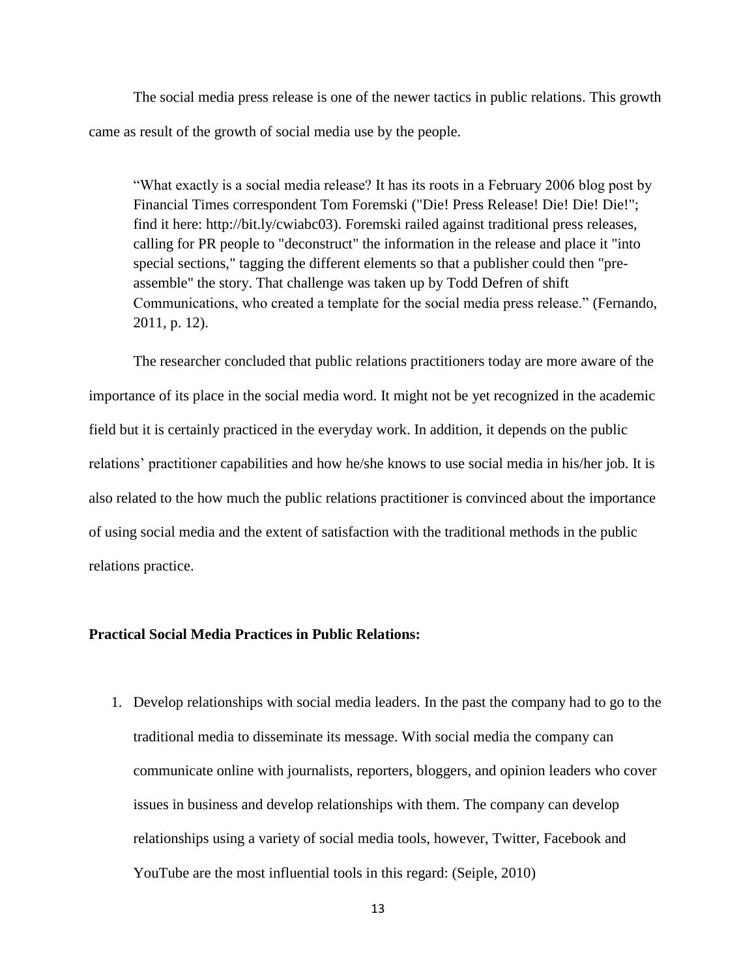The social media press release is one of the newer tactics in public relations. This growth came as result of the growth of social media use by the people.

"What exactly is a social media release? It has its roots in a February 2006 blog post by Financial Times correspondent Tom Foremski ("Die! Press Release! Die! Die! Die!"; find it here: http://bit.ly/cwiabc03). Foremski railed against traditional press releases, calling for PR people to "deconstruct" the information in the release and place it "into special sections," tagging the different elements so that a publisher could then "preassemble" the story. That challenge was taken up by Todd Defren of shift Communications, who created a template for the social media press release." (Fernando, 2011, p. 12).

The researcher concluded that public relations practitioners today are more aware of the importance of its place in the social media word. It might not be yet recognized in the academic field but it is certainly practiced in the everyday work. In addition, it depends on the public relations' practitioner capabilities and how he/she knows to use social media in his/her job. It is also related to the how much the public relations practitioner is convinced about the importance of using social media and the extent of satisfaction with the traditional methods in the public relations practice.

# **Practical Social Media Practices in Public Relations:**

1. Develop relationships with social media leaders. In the past the company had to go to the traditional media to disseminate its message. With social media the company can communicate online with journalists, reporters, bloggers, and opinion leaders who cover issues in business and develop relationships with them. The company can develop relationships using a variety of social media tools, however, Twitter, Facebook and YouTube are the most influential tools in this regard: (Seiple, 2010)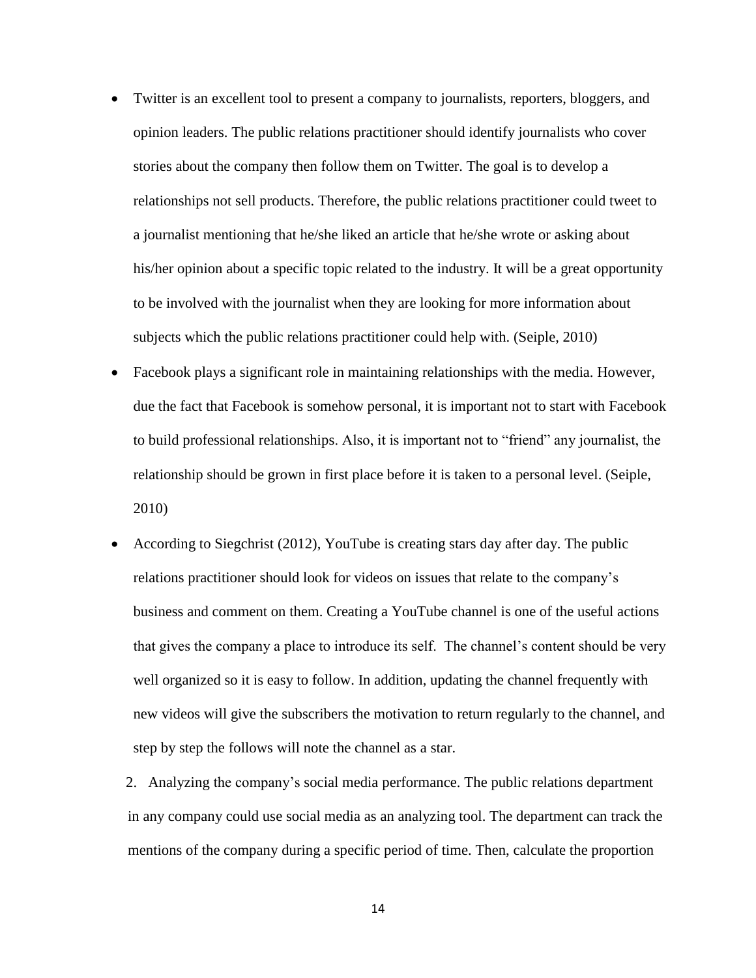- Twitter is an excellent tool to present a company to journalists, reporters, bloggers, and opinion leaders. The public relations practitioner should identify journalists who cover stories about the company then follow them on Twitter. The goal is to develop a relationships not sell products. Therefore, the public relations practitioner could tweet to a journalist mentioning that he/she liked an article that he/she wrote or asking about his/her opinion about a specific topic related to the industry. It will be a great opportunity to be involved with the journalist when they are looking for more information about subjects which the public relations practitioner could help with. (Seiple, 2010)
- Facebook plays a significant role in maintaining relationships with the media. However, due the fact that Facebook is somehow personal, it is important not to start with Facebook to build professional relationships. Also, it is important not to "friend" any journalist, the relationship should be grown in first place before it is taken to a personal level. (Seiple, 2010)
- According to Siegchrist (2012), YouTube is creating stars day after day. The public relations practitioner should look for videos on issues that relate to the company's business and comment on them. Creating a YouTube channel is one of the useful actions that gives the company a place to introduce its self. The channel's content should be very well organized so it is easy to follow. In addition, updating the channel frequently with new videos will give the subscribers the motivation to return regularly to the channel, and step by step the follows will note the channel as a star.

 2. Analyzing the company's social media performance. The public relations department in any company could use social media as an analyzing tool. The department can track the mentions of the company during a specific period of time. Then, calculate the proportion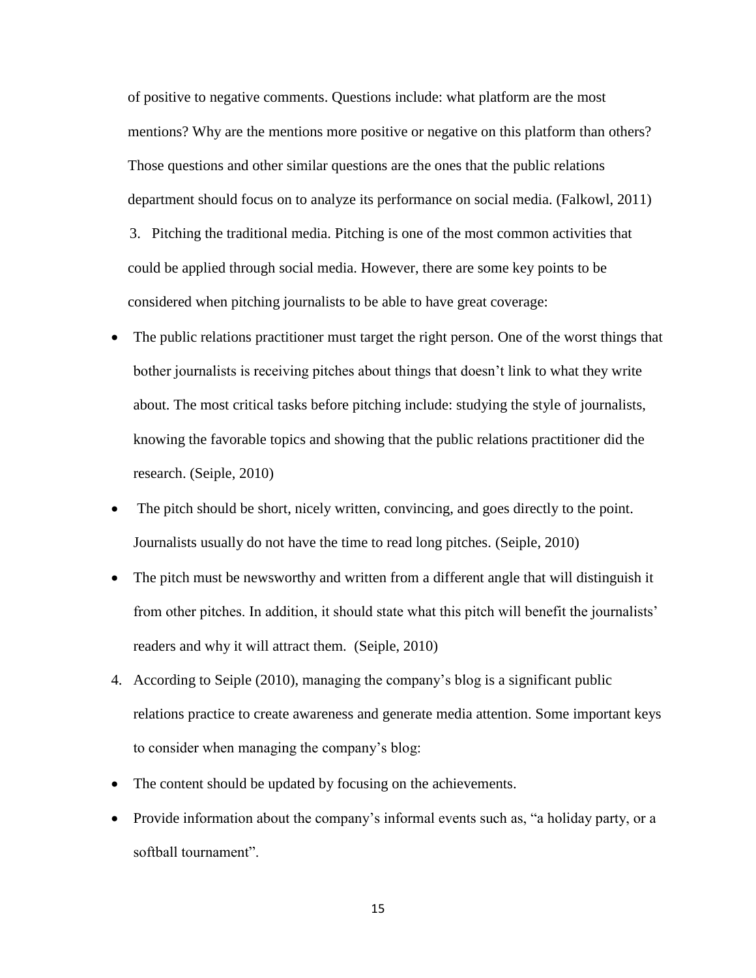of positive to negative comments. Questions include: what platform are the most mentions? Why are the mentions more positive or negative on this platform than others? Those questions and other similar questions are the ones that the public relations department should focus on to analyze its performance on social media. (Falkowl, 2011)

 3. Pitching the traditional media. Pitching is one of the most common activities that could be applied through social media. However, there are some key points to be considered when pitching journalists to be able to have great coverage:

- The public relations practitioner must target the right person. One of the worst things that bother journalists is receiving pitches about things that doesn't link to what they write about. The most critical tasks before pitching include: studying the style of journalists, knowing the favorable topics and showing that the public relations practitioner did the research. (Seiple, 2010)
- The pitch should be short, nicely written, convincing, and goes directly to the point. Journalists usually do not have the time to read long pitches. (Seiple, 2010)
- The pitch must be newsworthy and written from a different angle that will distinguish it from other pitches. In addition, it should state what this pitch will benefit the journalists' readers and why it will attract them. (Seiple, 2010)
- 4. According to Seiple (2010), managing the company's blog is a significant public relations practice to create awareness and generate media attention. Some important keys to consider when managing the company's blog:
- The content should be updated by focusing on the achievements.
- Provide information about the company's informal events such as, "a holiday party, or a softball tournament".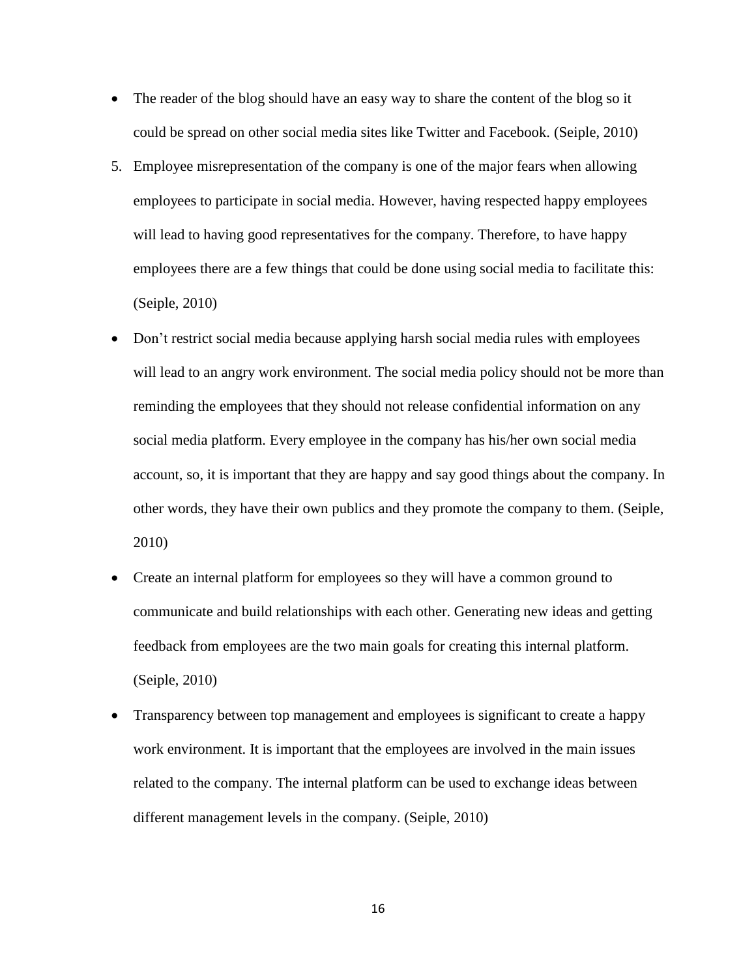- The reader of the blog should have an easy way to share the content of the blog so it could be spread on other social media sites like Twitter and Facebook. (Seiple, 2010)
- 5. Employee misrepresentation of the company is one of the major fears when allowing employees to participate in social media. However, having respected happy employees will lead to having good representatives for the company. Therefore, to have happy employees there are a few things that could be done using social media to facilitate this: (Seiple, 2010)
- Don't restrict social media because applying harsh social media rules with employees will lead to an angry work environment. The social media policy should not be more than reminding the employees that they should not release confidential information on any social media platform. Every employee in the company has his/her own social media account, so, it is important that they are happy and say good things about the company. In other words, they have their own publics and they promote the company to them. (Seiple, 2010)
- Create an internal platform for employees so they will have a common ground to communicate and build relationships with each other. Generating new ideas and getting feedback from employees are the two main goals for creating this internal platform. (Seiple, 2010)
- Transparency between top management and employees is significant to create a happy work environment. It is important that the employees are involved in the main issues related to the company. The internal platform can be used to exchange ideas between different management levels in the company. (Seiple, 2010)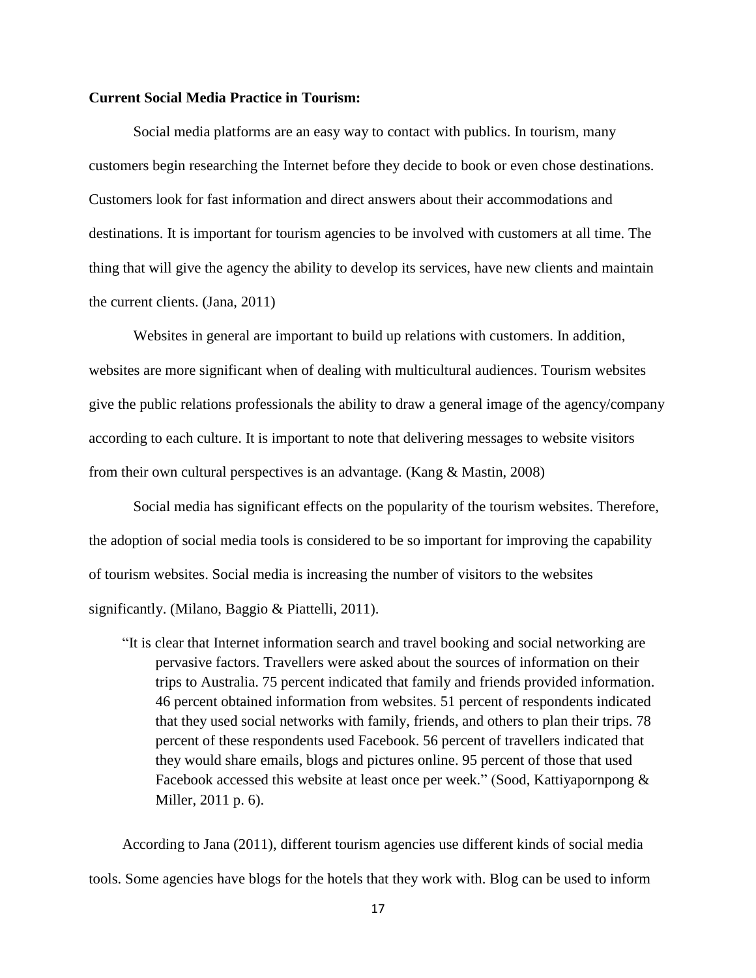### **Current Social Media Practice in Tourism:**

Social media platforms are an easy way to contact with publics. In tourism, many customers begin researching the Internet before they decide to book or even chose destinations. Customers look for fast information and direct answers about their accommodations and destinations. It is important for tourism agencies to be involved with customers at all time. The thing that will give the agency the ability to develop its services, have new clients and maintain the current clients. (Jana, 2011)

Websites in general are important to build up relations with customers. In addition, websites are more significant when of dealing with multicultural audiences. Tourism websites give the public relations professionals the ability to draw a general image of the agency/company according to each culture. It is important to note that delivering messages to website visitors from their own cultural perspectives is an advantage. (Kang & Mastin, 2008)

Social media has significant effects on the popularity of the tourism websites. Therefore, the adoption of social media tools is considered to be so important for improving the capability of tourism websites. Social media is increasing the number of visitors to the websites significantly. (Milano, Baggio & Piattelli, 2011).

"It is clear that Internet information search and travel booking and social networking are pervasive factors. Travellers were asked about the sources of information on their trips to Australia. 75 percent indicated that family and friends provided information. 46 percent obtained information from websites. 51 percent of respondents indicated that they used social networks with family, friends, and others to plan their trips. 78 percent of these respondents used Facebook. 56 percent of travellers indicated that they would share emails, blogs and pictures online. 95 percent of those that used Facebook accessed this website at least once per week." (Sood, Kattiyapornpong & Miller, 2011 p. 6).

According to Jana (2011), different tourism agencies use different kinds of social media tools. Some agencies have blogs for the hotels that they work with. Blog can be used to inform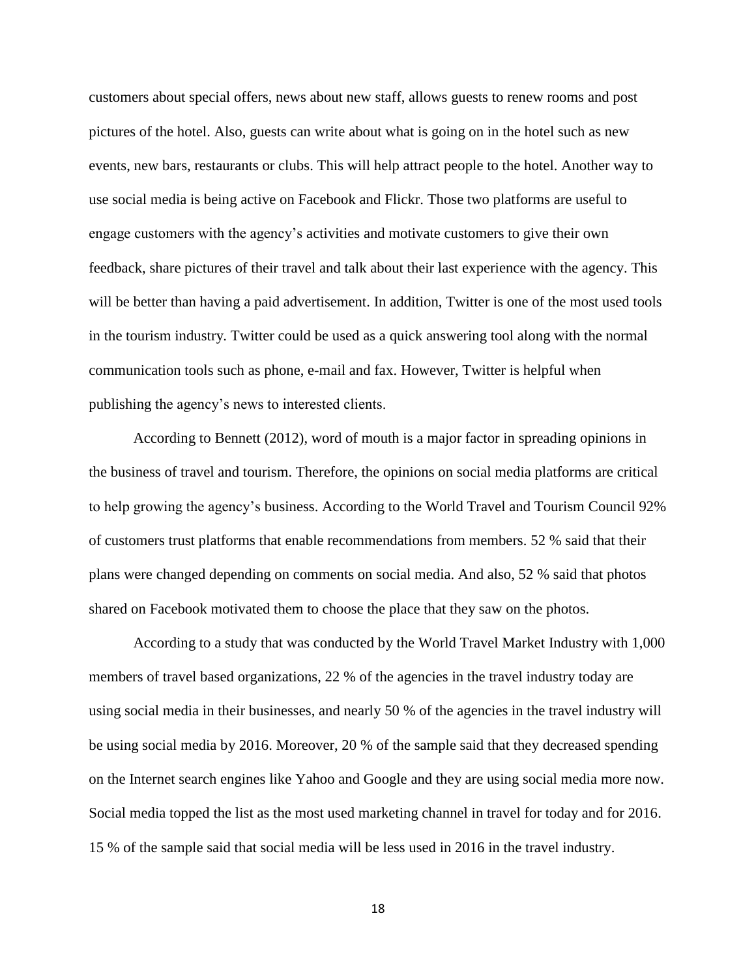customers about special offers, news about new staff, allows guests to renew rooms and post pictures of the hotel. Also, guests can write about what is going on in the hotel such as new events, new bars, restaurants or clubs. This will help attract people to the hotel. Another way to use social media is being active on Facebook and Flickr. Those two platforms are useful to engage customers with the agency's activities and motivate customers to give their own feedback, share pictures of their travel and talk about their last experience with the agency. This will be better than having a paid advertisement. In addition, Twitter is one of the most used tools in the tourism industry. Twitter could be used as a quick answering tool along with the normal communication tools such as phone, e-mail and fax. However, Twitter is helpful when publishing the agency's news to interested clients.

According to Bennett (2012), word of mouth is a major factor in spreading opinions in the business of travel and tourism. Therefore, the opinions on social media platforms are critical to help growing the agency's business. According to the World Travel and Tourism Council 92% of customers trust platforms that enable recommendations from members. 52 % said that their plans were changed depending on comments on social media. And also, 52 % said that photos shared on Facebook motivated them to choose the place that they saw on the photos.

According to a study that was conducted by the World Travel Market Industry with 1,000 members of travel based organizations, 22 % of the agencies in the travel industry today are using social media in their businesses, and nearly 50 % of the agencies in the travel industry will be using social media by 2016. Moreover, 20 % of the sample said that they decreased spending on the Internet search engines like Yahoo and Google and they are using social media more now. Social media topped the list as the most used marketing channel in travel for today and for 2016. 15 % of the sample said that social media will be less used in 2016 in the travel industry.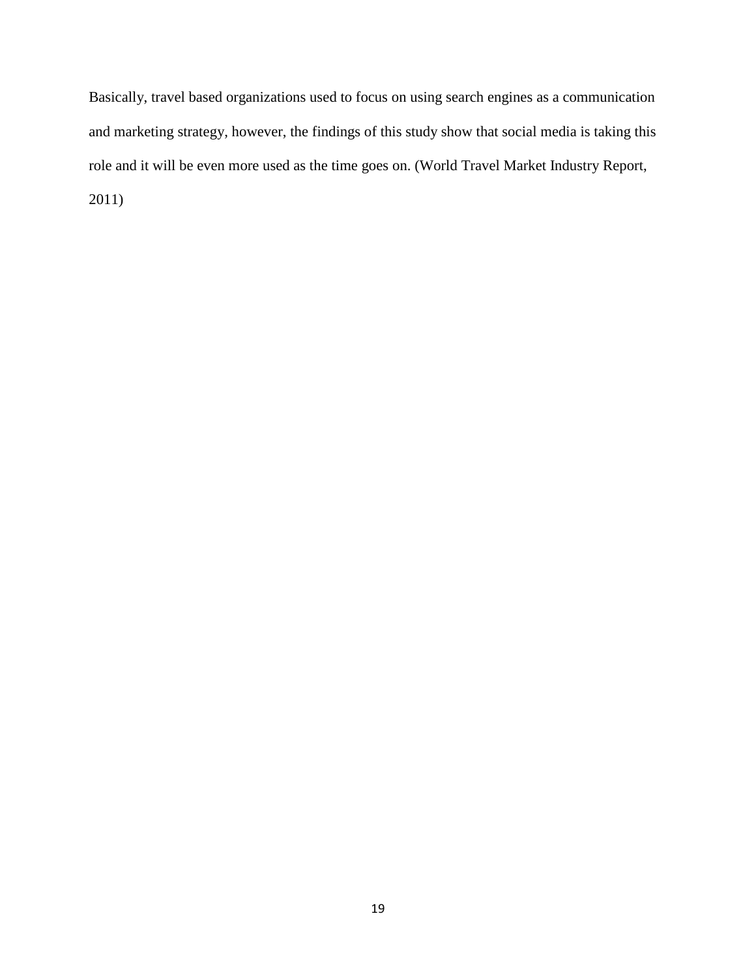Basically, travel based organizations used to focus on using search engines as a communication and marketing strategy, however, the findings of this study show that social media is taking this role and it will be even more used as the time goes on. (World Travel Market Industry Report, 2011)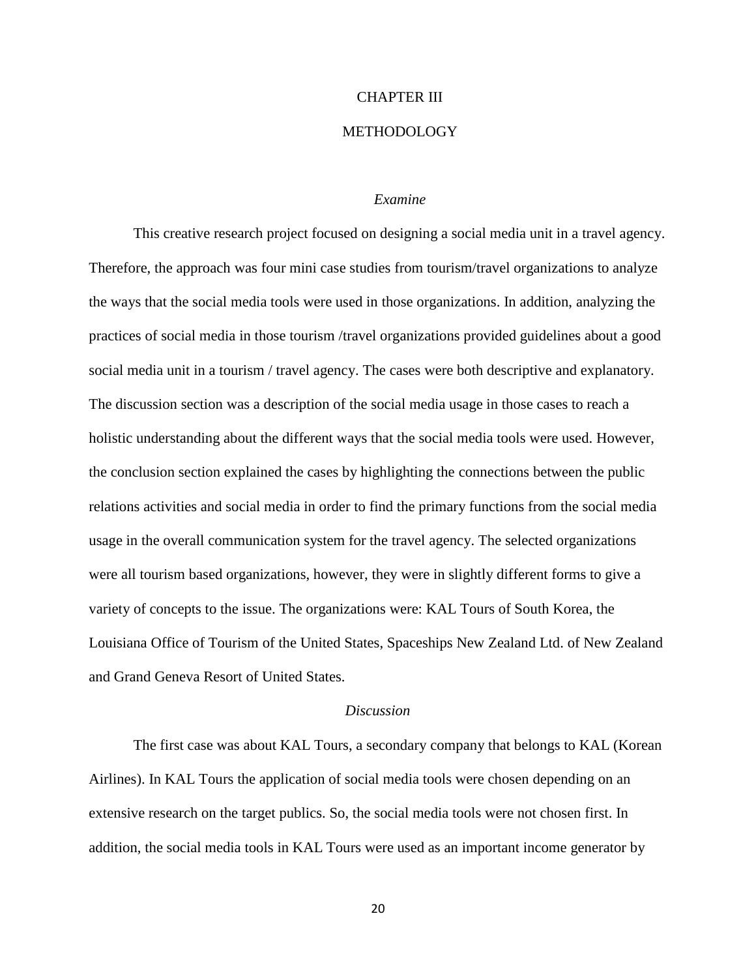#### CHAPTER III

# METHODOLOGY

#### *Examine*

This creative research project focused on designing a social media unit in a travel agency. Therefore, the approach was four mini case studies from tourism/travel organizations to analyze the ways that the social media tools were used in those organizations. In addition, analyzing the practices of social media in those tourism /travel organizations provided guidelines about a good social media unit in a tourism / travel agency. The cases were both descriptive and explanatory. The discussion section was a description of the social media usage in those cases to reach a holistic understanding about the different ways that the social media tools were used. However, the conclusion section explained the cases by highlighting the connections between the public relations activities and social media in order to find the primary functions from the social media usage in the overall communication system for the travel agency. The selected organizations were all tourism based organizations, however, they were in slightly different forms to give a variety of concepts to the issue. The organizations were: KAL Tours of South Korea, the Louisiana Office of Tourism of the United States, Spaceships New Zealand Ltd. of New Zealand and Grand Geneva Resort of United States.

#### *Discussion*

The first case was about KAL Tours, a secondary company that belongs to KAL (Korean Airlines). In KAL Tours the application of social media tools were chosen depending on an extensive research on the target publics. So, the social media tools were not chosen first. In addition, the social media tools in KAL Tours were used as an important income generator by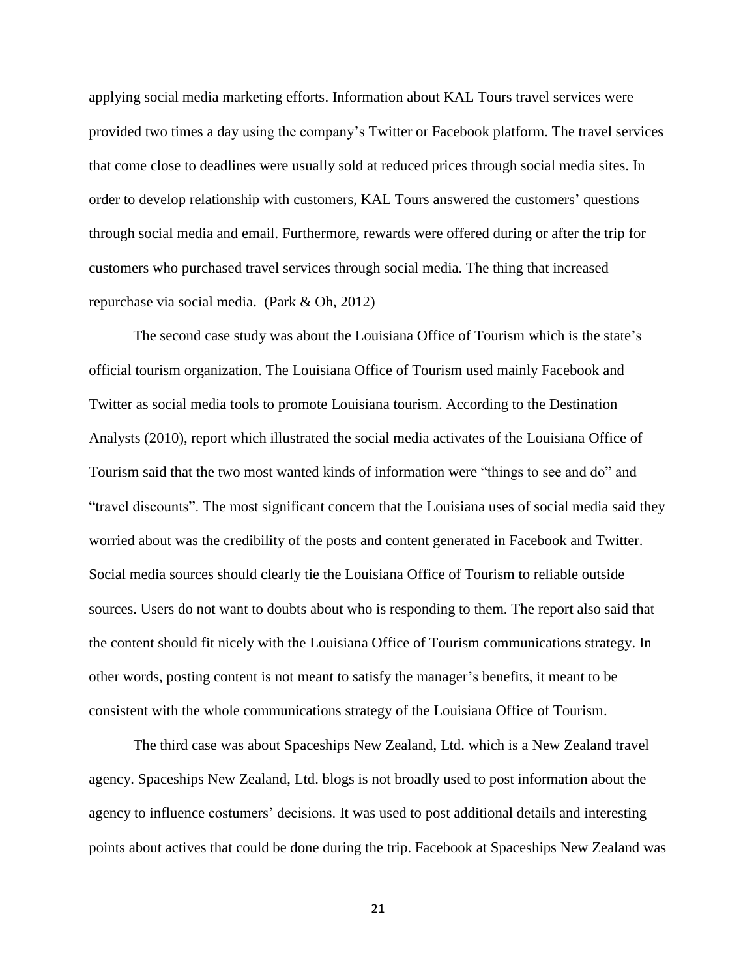applying social media marketing efforts. Information about KAL Tours travel services were provided two times a day using the company's Twitter or Facebook platform. The travel services that come close to deadlines were usually sold at reduced prices through social media sites. In order to develop relationship with customers, KAL Tours answered the customers' questions through social media and email. Furthermore, rewards were offered during or after the trip for customers who purchased travel services through social media. The thing that increased repurchase via social media. (Park & Oh, 2012)

The second case study was about the Louisiana Office of Tourism which is the state's official tourism organization. The Louisiana Office of Tourism used mainly Facebook and Twitter as social media tools to promote Louisiana tourism. According to the Destination Analysts (2010), report which illustrated the social media activates of the Louisiana Office of Tourism said that the two most wanted kinds of information were "things to see and do" and "travel discounts". The most significant concern that the Louisiana uses of social media said they worried about was the credibility of the posts and content generated in Facebook and Twitter. Social media sources should clearly tie the Louisiana Office of Tourism to reliable outside sources. Users do not want to doubts about who is responding to them. The report also said that the content should fit nicely with the Louisiana Office of Tourism communications strategy. In other words, posting content is not meant to satisfy the manager's benefits, it meant to be consistent with the whole communications strategy of the Louisiana Office of Tourism.

The third case was about Spaceships New Zealand, Ltd. which is a New Zealand travel agency. Spaceships New Zealand, Ltd. blogs is not broadly used to post information about the agency to influence costumers' decisions. It was used to post additional details and interesting points about actives that could be done during the trip. Facebook at Spaceships New Zealand was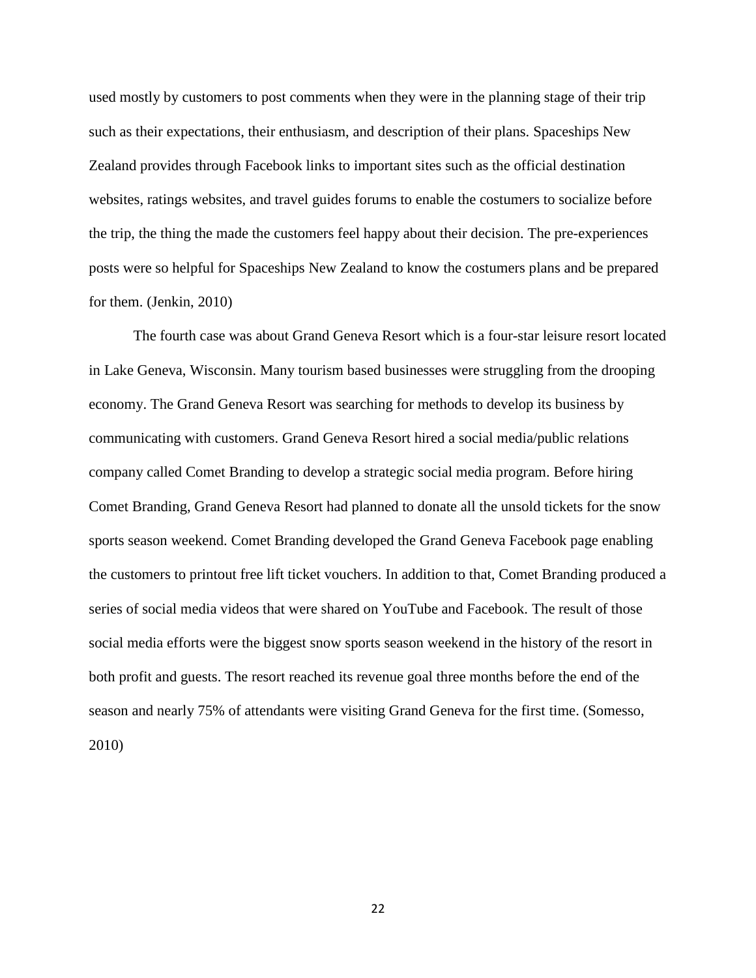used mostly by customers to post comments when they were in the planning stage of their trip such as their expectations, their enthusiasm, and description of their plans. Spaceships New Zealand provides through Facebook links to important sites such as the official destination websites, ratings websites, and travel guides forums to enable the costumers to socialize before the trip, the thing the made the customers feel happy about their decision. The pre-experiences posts were so helpful for Spaceships New Zealand to know the costumers plans and be prepared for them. (Jenkin, 2010)

The fourth case was about Grand Geneva Resort which is a four-star leisure resort located in Lake Geneva, Wisconsin. Many tourism based businesses were struggling from the drooping economy. The Grand Geneva Resort was searching for methods to develop its business by communicating with customers. Grand Geneva Resort hired a social media/public relations company called Comet Branding to develop a strategic social media program. Before hiring Comet Branding, Grand Geneva Resort had planned to donate all the unsold tickets for the snow sports season weekend. Comet Branding developed the Grand Geneva Facebook page enabling the customers to printout free lift ticket vouchers. In addition to that, Comet Branding produced a series of social media videos that were shared on YouTube and Facebook. The result of those social media efforts were the biggest snow sports season weekend in the history of the resort in both profit and guests. The resort reached its revenue goal three months before the end of the season and nearly 75% of attendants were visiting Grand Geneva for the first time. (Somesso, 2010)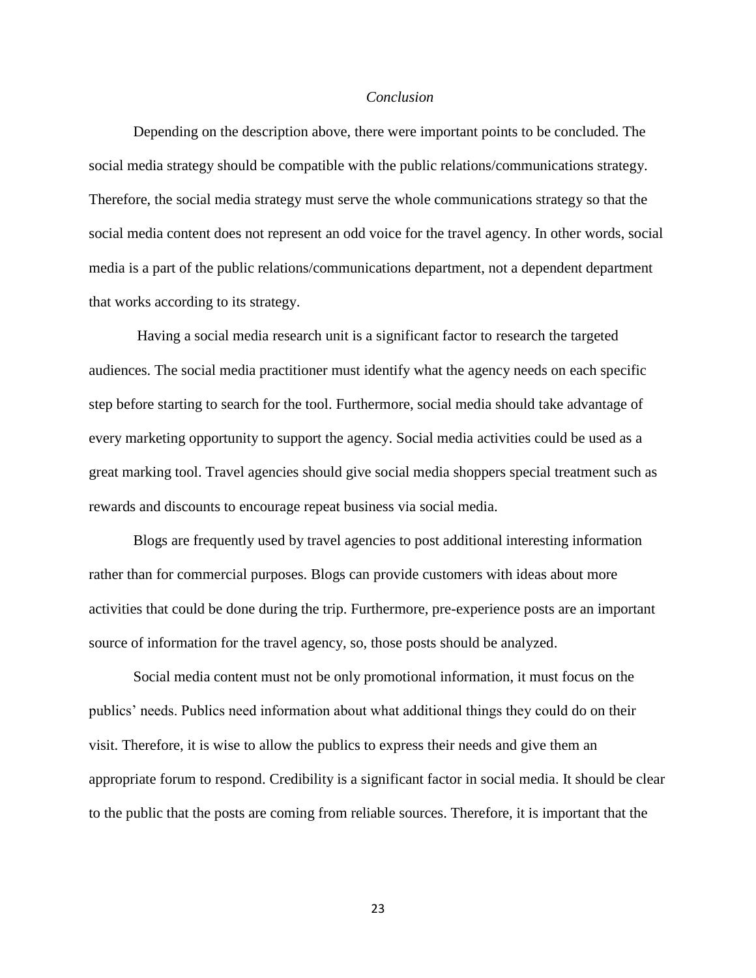#### *Conclusion*

Depending on the description above, there were important points to be concluded. The social media strategy should be compatible with the public relations/communications strategy. Therefore, the social media strategy must serve the whole communications strategy so that the social media content does not represent an odd voice for the travel agency. In other words, social media is a part of the public relations/communications department, not a dependent department that works according to its strategy.

Having a social media research unit is a significant factor to research the targeted audiences. The social media practitioner must identify what the agency needs on each specific step before starting to search for the tool. Furthermore, social media should take advantage of every marketing opportunity to support the agency. Social media activities could be used as a great marking tool. Travel agencies should give social media shoppers special treatment such as rewards and discounts to encourage repeat business via social media.

Blogs are frequently used by travel agencies to post additional interesting information rather than for commercial purposes. Blogs can provide customers with ideas about more activities that could be done during the trip. Furthermore, pre-experience posts are an important source of information for the travel agency, so, those posts should be analyzed.

Social media content must not be only promotional information, it must focus on the publics' needs. Publics need information about what additional things they could do on their visit. Therefore, it is wise to allow the publics to express their needs and give them an appropriate forum to respond. Credibility is a significant factor in social media. It should be clear to the public that the posts are coming from reliable sources. Therefore, it is important that the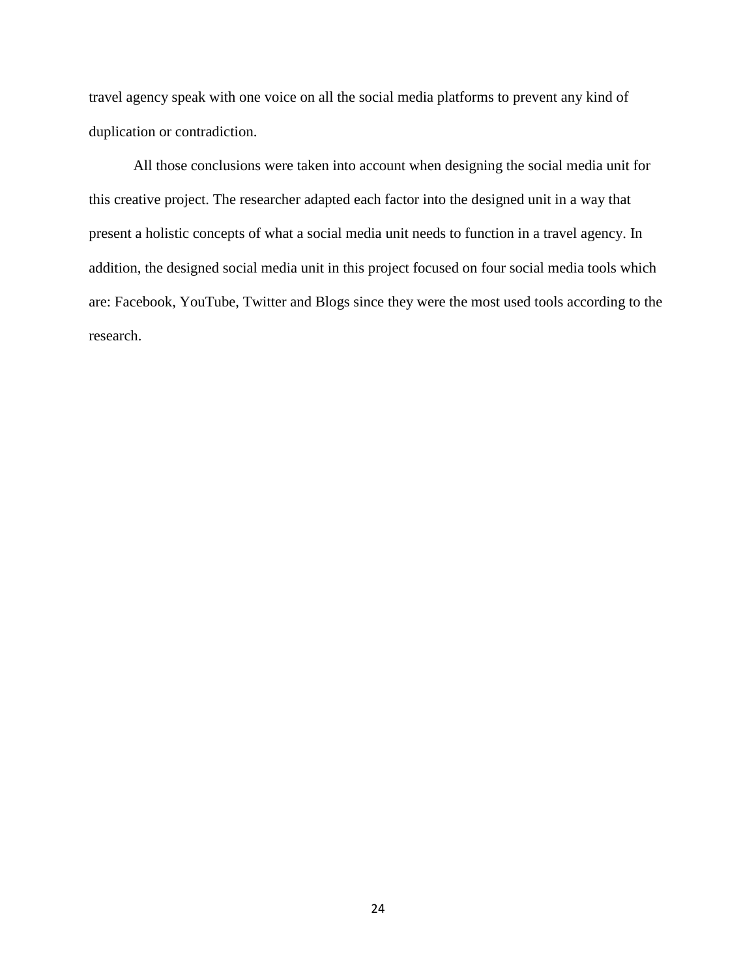travel agency speak with one voice on all the social media platforms to prevent any kind of duplication or contradiction.

All those conclusions were taken into account when designing the social media unit for this creative project. The researcher adapted each factor into the designed unit in a way that present a holistic concepts of what a social media unit needs to function in a travel agency. In addition, the designed social media unit in this project focused on four social media tools which are: Facebook, YouTube, Twitter and Blogs since they were the most used tools according to the research.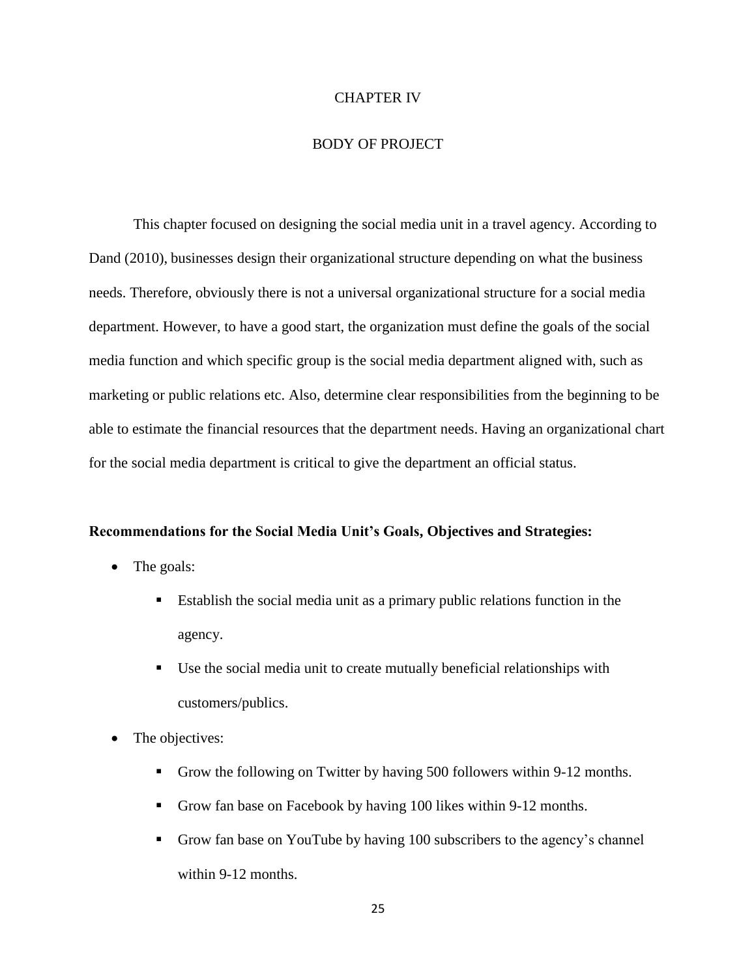### CHAPTER IV

#### BODY OF PROJECT

This chapter focused on designing the social media unit in a travel agency. According to Dand (2010), businesses design their organizational structure depending on what the business needs. Therefore, obviously there is not a universal organizational structure for a social media department. However, to have a good start, the organization must define the goals of the social media function and which specific group is the social media department aligned with, such as marketing or public relations etc. Also, determine clear responsibilities from the beginning to be able to estimate the financial resources that the department needs. Having an organizational chart for the social media department is critical to give the department an official status.

#### **Recommendations for the Social Media Unit's Goals, Objectives and Strategies:**

- The goals:
	- Establish the social media unit as a primary public relations function in the agency.
	- Use the social media unit to create mutually beneficial relationships with customers/publics.
- The objectives:
	- Grow the following on Twitter by having 500 followers within 9-12 months.
	- Grow fan base on Facebook by having 100 likes within 9-12 months.
	- Grow fan base on YouTube by having 100 subscribers to the agency's channel within 9-12 months.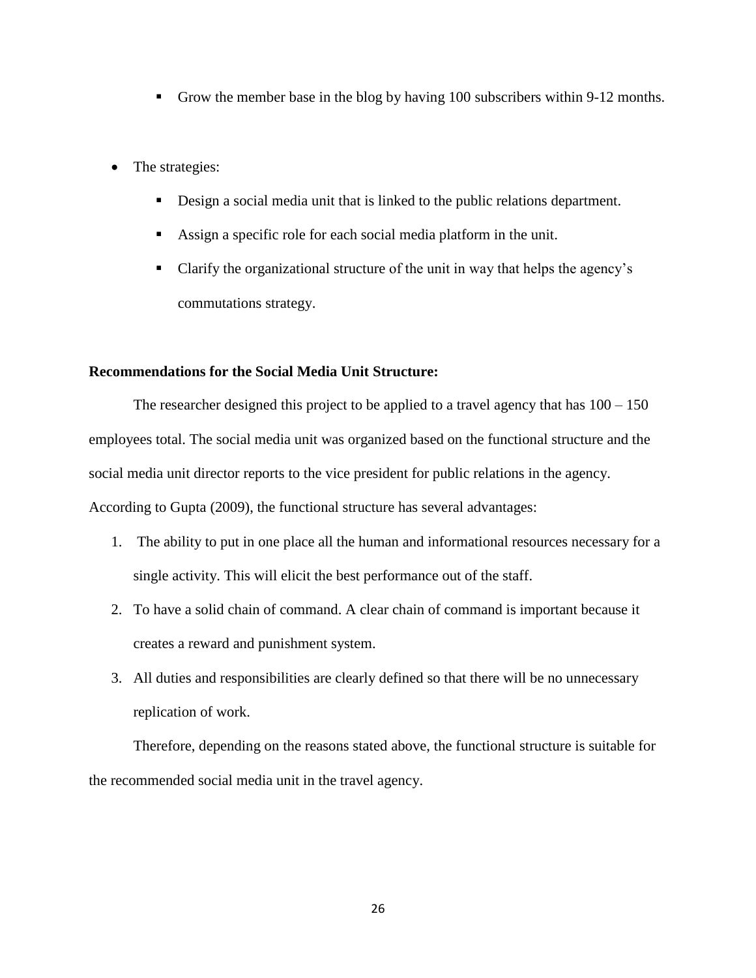- Grow the member base in the blog by having 100 subscribers within 9-12 months.
- The strategies:
	- Design a social media unit that is linked to the public relations department.
	- Assign a specific role for each social media platform in the unit.
	- Clarify the organizational structure of the unit in way that helps the agency's commutations strategy.

#### **Recommendations for the Social Media Unit Structure:**

The researcher designed this project to be applied to a travel agency that has  $100 - 150$ employees total. The social media unit was organized based on the functional structure and the social media unit director reports to the vice president for public relations in the agency. According to Gupta (2009), the functional structure has several advantages:

- 1. The ability to put in one place all the human and informational resources necessary for a single activity. This will elicit the best performance out of the staff.
- 2. To have a solid chain of command. A clear chain of command is important because it creates a reward and punishment system.
- 3. All duties and responsibilities are clearly defined so that there will be no unnecessary replication of work.

Therefore, depending on the reasons stated above, the functional structure is suitable for the recommended social media unit in the travel agency.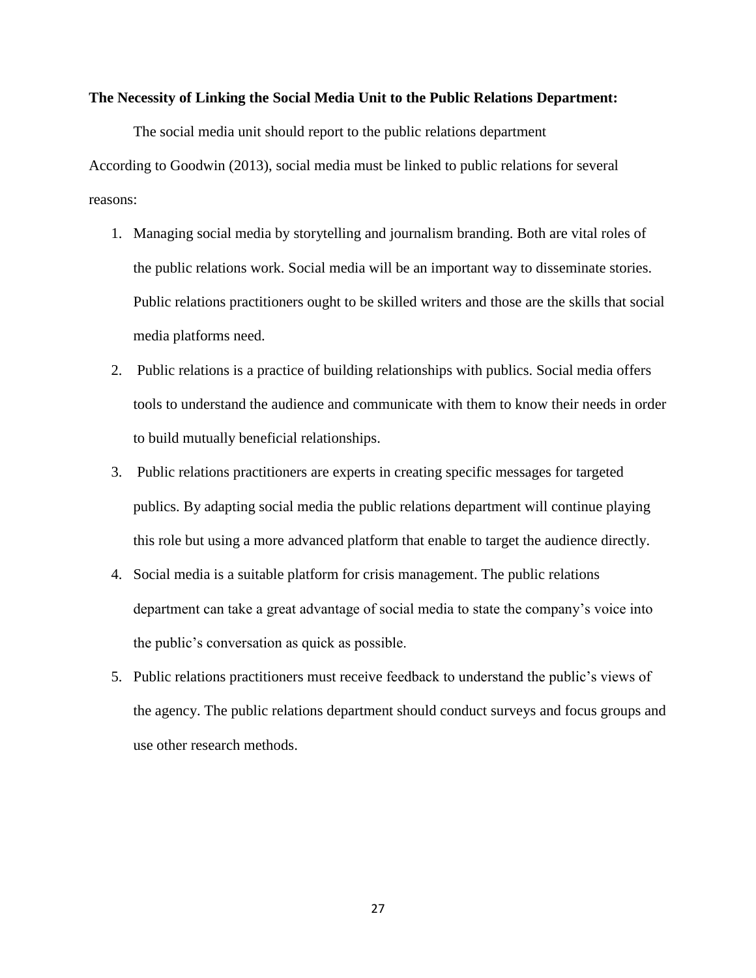#### **The Necessity of Linking the Social Media Unit to the Public Relations Department:**

The social media unit should report to the public relations department According to Goodwin (2013), social media must be linked to public relations for several reasons:

- 1. Managing social media by storytelling and journalism branding. Both are vital roles of the public relations work. Social media will be an important way to disseminate stories. Public relations practitioners ought to be skilled writers and those are the skills that social media platforms need.
- 2. Public relations is a practice of building relationships with publics. Social media offers tools to understand the audience and communicate with them to know their needs in order to build mutually beneficial relationships.
- 3. Public relations practitioners are experts in creating specific messages for targeted publics. By adapting social media the public relations department will continue playing this role but using a more advanced platform that enable to target the audience directly.
- 4. Social media is a suitable platform for crisis management. The public relations department can take a great advantage of social media to state the company's voice into the public's conversation as quick as possible.
- 5. Public relations practitioners must receive feedback to understand the public's views of the agency. The public relations department should conduct surveys and focus groups and use other research methods.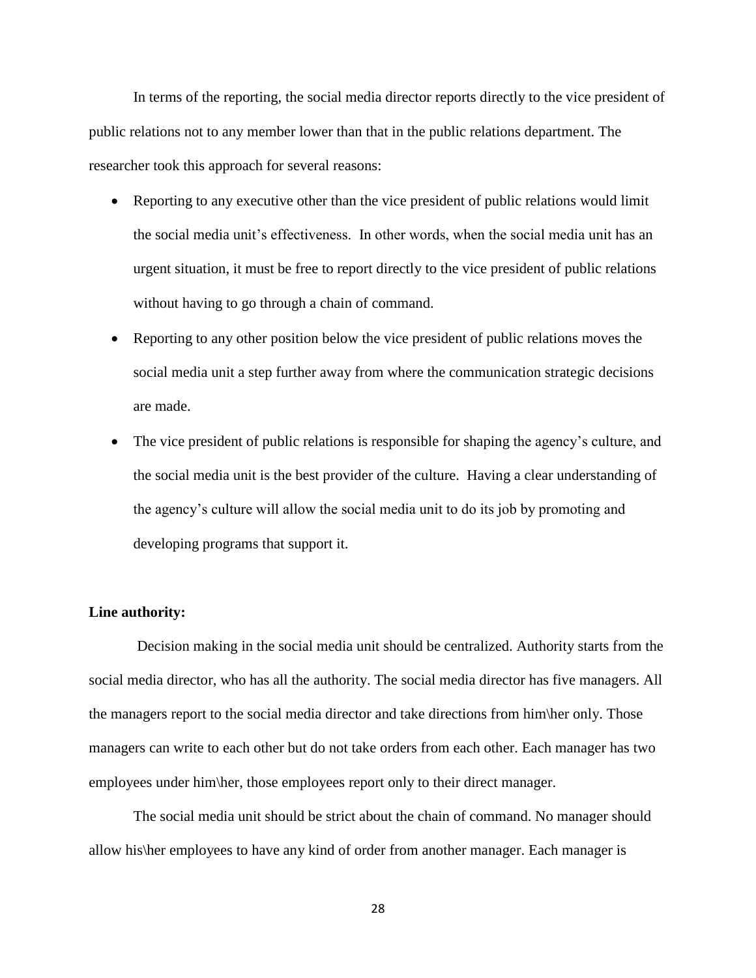In terms of the reporting, the social media director reports directly to the vice president of public relations not to any member lower than that in the public relations department. The researcher took this approach for several reasons:

- Reporting to any executive other than the vice president of public relations would limit the social media unit's effectiveness. In other words, when the social media unit has an urgent situation, it must be free to report directly to the vice president of public relations without having to go through a chain of command.
- Reporting to any other position below the vice president of public relations moves the social media unit a step further away from where the communication strategic decisions are made.
- The vice president of public relations is responsible for shaping the agency's culture, and the social media unit is the best provider of the culture. Having a clear understanding of the agency's culture will allow the social media unit to do its job by promoting and developing programs that support it.

#### **Line authority:**

 Decision making in the social media unit should be centralized. Authority starts from the social media director, who has all the authority. The social media director has five managers. All the managers report to the social media director and take directions from him\her only. Those managers can write to each other but do not take orders from each other. Each manager has two employees under him\her, those employees report only to their direct manager.

The social media unit should be strict about the chain of command. No manager should allow his\her employees to have any kind of order from another manager. Each manager is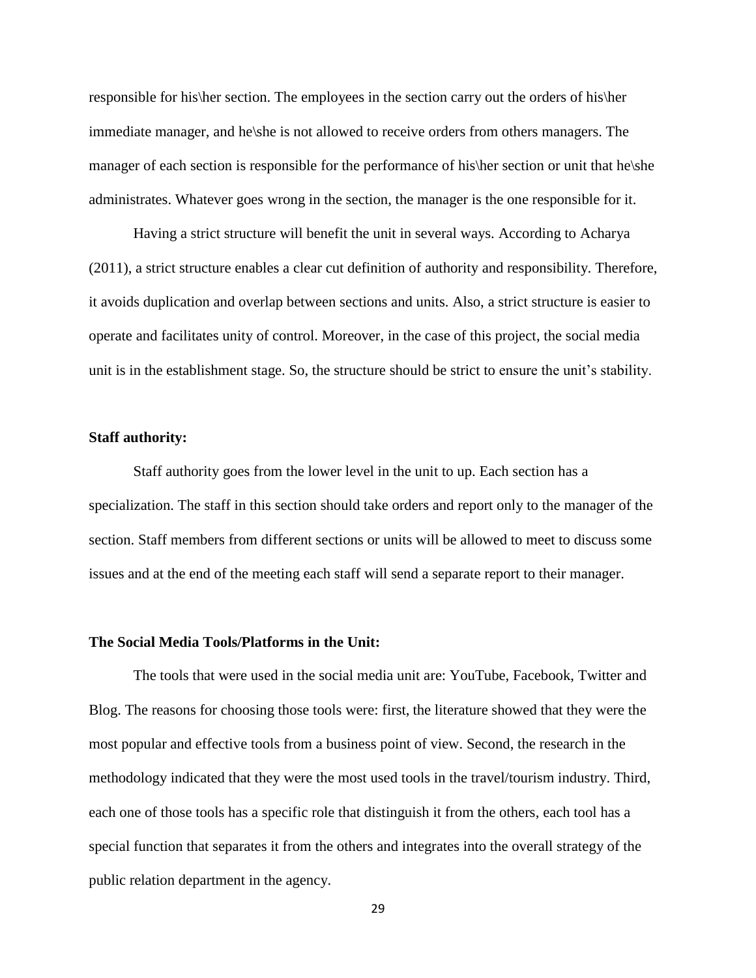responsible for his\her section. The employees in the section carry out the orders of his\her immediate manager, and he\she is not allowed to receive orders from others managers. The manager of each section is responsible for the performance of his\her section or unit that he\she administrates. Whatever goes wrong in the section, the manager is the one responsible for it.

Having a strict structure will benefit the unit in several ways. According to Acharya (2011), a strict structure enables a clear cut definition of authority and responsibility. Therefore, it avoids duplication and overlap between sections and units. Also, a strict structure is easier to operate and facilitates unity of control. Moreover, in the case of this project, the social media unit is in the establishment stage. So, the structure should be strict to ensure the unit's stability.

#### **Staff authority:**

Staff authority goes from the lower level in the unit to up. Each section has a specialization. The staff in this section should take orders and report only to the manager of the section. Staff members from different sections or units will be allowed to meet to discuss some issues and at the end of the meeting each staff will send a separate report to their manager.

#### **The Social Media Tools/Platforms in the Unit:**

The tools that were used in the social media unit are: YouTube, Facebook, Twitter and Blog. The reasons for choosing those tools were: first, the literature showed that they were the most popular and effective tools from a business point of view. Second, the research in the methodology indicated that they were the most used tools in the travel/tourism industry. Third, each one of those tools has a specific role that distinguish it from the others, each tool has a special function that separates it from the others and integrates into the overall strategy of the public relation department in the agency.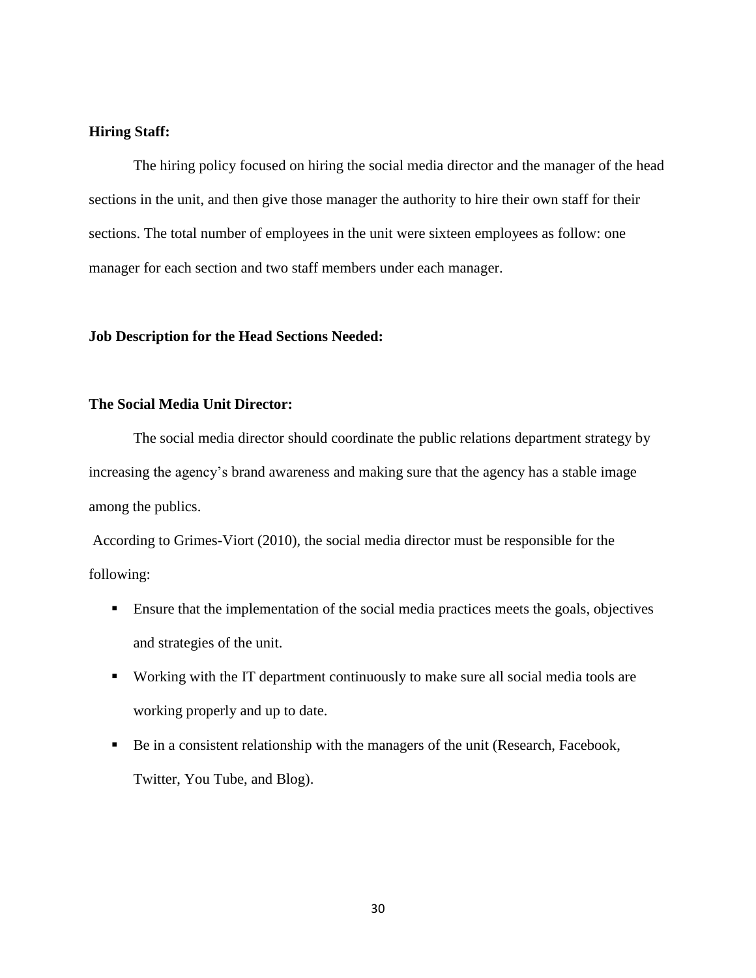# **Hiring Staff:**

The hiring policy focused on hiring the social media director and the manager of the head sections in the unit, and then give those manager the authority to hire their own staff for their sections. The total number of employees in the unit were sixteen employees as follow: one manager for each section and two staff members under each manager.

### **Job Description for the Head Sections Needed:**

### **The Social Media Unit Director:**

The social media director should coordinate the public relations department strategy by increasing the agency's brand awareness and making sure that the agency has a stable image among the publics.

According to Grimes-Viort (2010), the social media director must be responsible for the following:

- **Ensure that the implementation of the social media practices meets the goals, objectives** and strategies of the unit.
- Working with the IT department continuously to make sure all social media tools are working properly and up to date.
- Be in a consistent relationship with the managers of the unit (Research, Facebook, Twitter, You Tube, and Blog).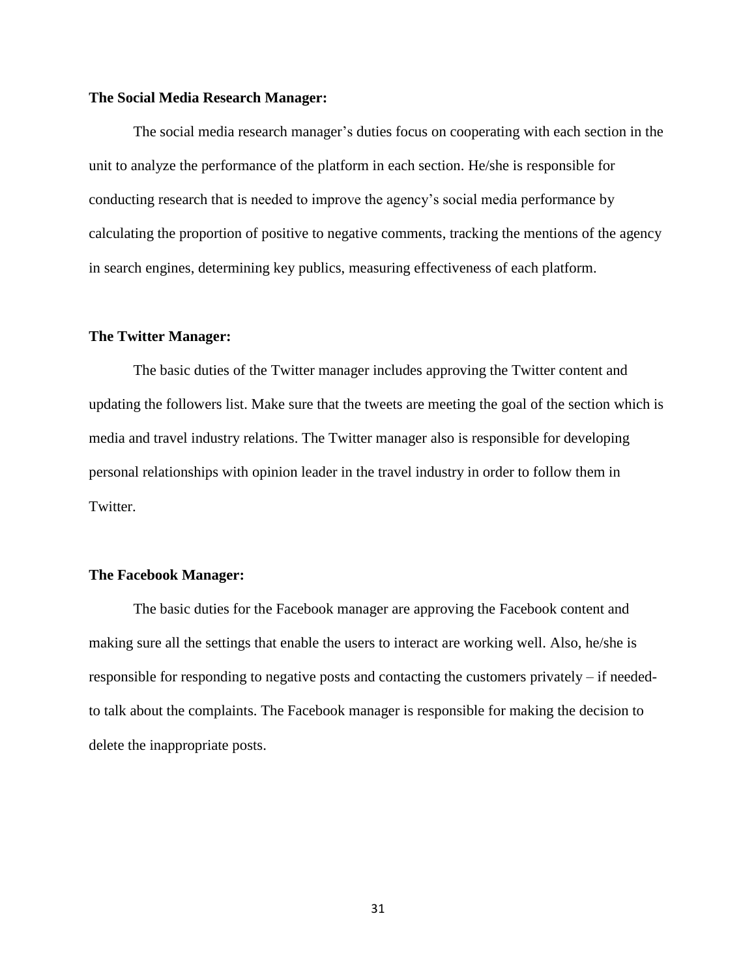#### **The Social Media Research Manager:**

The social media research manager's duties focus on cooperating with each section in the unit to analyze the performance of the platform in each section. He/she is responsible for conducting research that is needed to improve the agency's social media performance by calculating the proportion of positive to negative comments, tracking the mentions of the agency in search engines, determining key publics, measuring effectiveness of each platform.

#### **The Twitter Manager:**

The basic duties of the Twitter manager includes approving the Twitter content and updating the followers list. Make sure that the tweets are meeting the goal of the section which is media and travel industry relations. The Twitter manager also is responsible for developing personal relationships with opinion leader in the travel industry in order to follow them in Twitter.

#### **The Facebook Manager:**

The basic duties for the Facebook manager are approving the Facebook content and making sure all the settings that enable the users to interact are working well. Also, he/she is responsible for responding to negative posts and contacting the customers privately – if neededto talk about the complaints. The Facebook manager is responsible for making the decision to delete the inappropriate posts.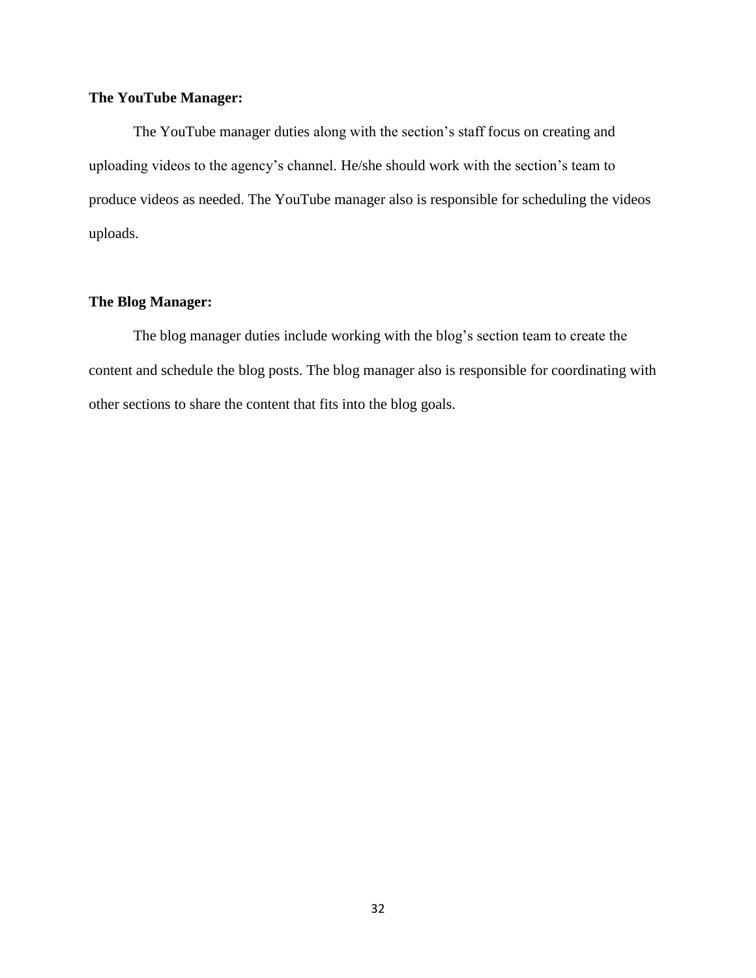# **The YouTube Manager:**

The YouTube manager duties along with the section's staff focus on creating and uploading videos to the agency's channel. He/she should work with the section's team to produce videos as needed. The YouTube manager also is responsible for scheduling the videos uploads.

# **The Blog Manager:**

The blog manager duties include working with the blog's section team to create the content and schedule the blog posts. The blog manager also is responsible for coordinating with other sections to share the content that fits into the blog goals.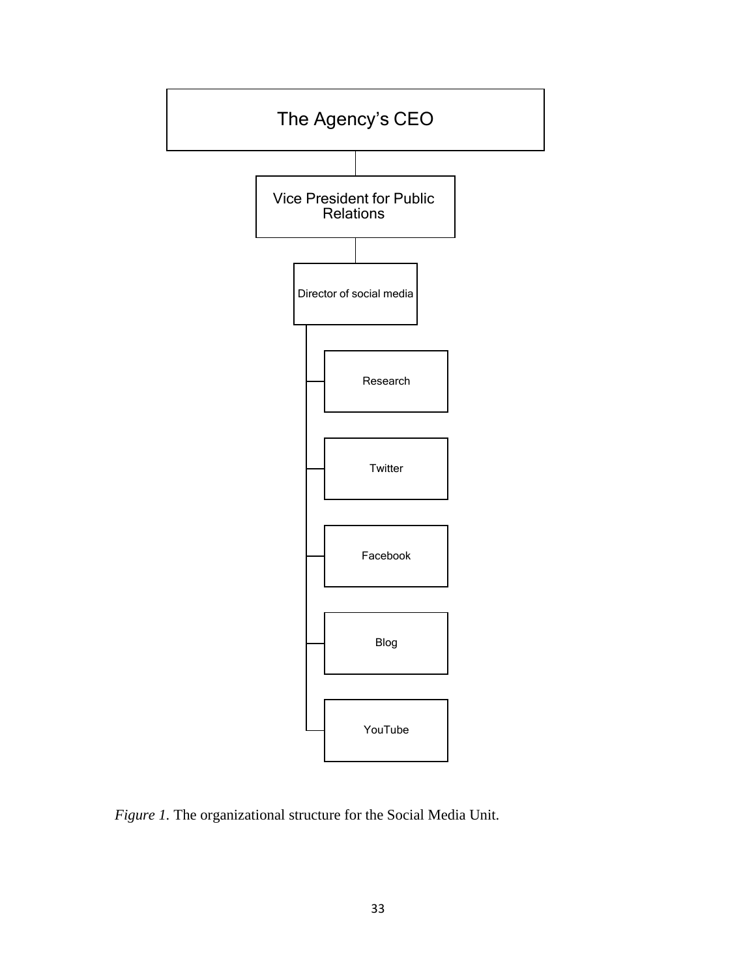

*Figure 1.* The organizational structure for the Social Media Unit.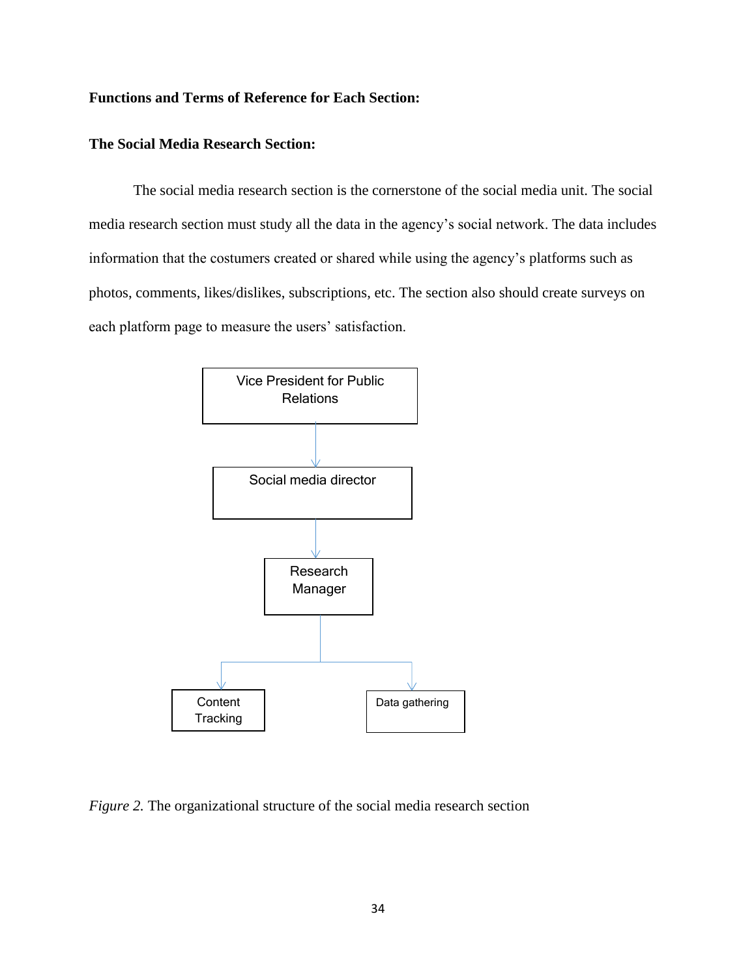# **Functions and Terms of Reference for Each Section:**

# **The Social Media Research Section:**

The social media research section is the cornerstone of the social media unit. The social media research section must study all the data in the agency's social network. The data includes information that the costumers created or shared while using the agency's platforms such as photos, comments, likes/dislikes, subscriptions, etc. The section also should create surveys on each platform page to measure the users' satisfaction.



*Figure 2.* The organizational structure of the social media research section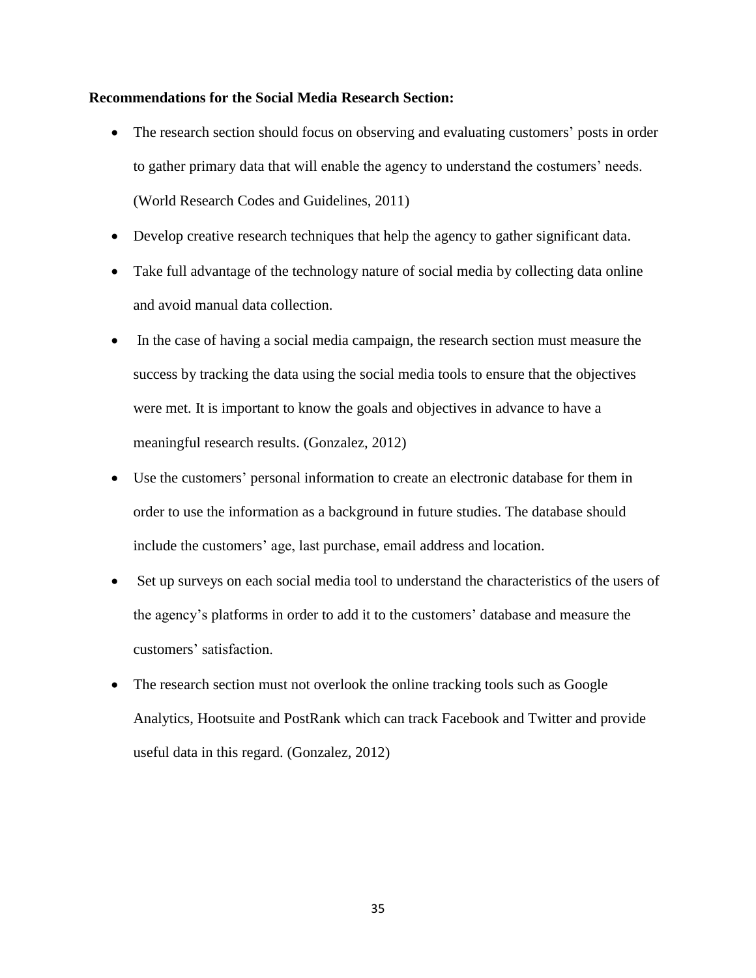### **Recommendations for the Social Media Research Section:**

- The research section should focus on observing and evaluating customers' posts in order to gather primary data that will enable the agency to understand the costumers' needs. (World Research Codes and Guidelines, 2011)
- Develop creative research techniques that help the agency to gather significant data.
- Take full advantage of the technology nature of social media by collecting data online and avoid manual data collection.
- In the case of having a social media campaign, the research section must measure the success by tracking the data using the social media tools to ensure that the objectives were met. It is important to know the goals and objectives in advance to have a meaningful research results. (Gonzalez, 2012)
- Use the customers' personal information to create an electronic database for them in order to use the information as a background in future studies. The database should include the customers' age, last purchase, email address and location.
- Set up surveys on each social media tool to understand the characteristics of the users of the agency's platforms in order to add it to the customers' database and measure the customers' satisfaction.
- The research section must not overlook the online tracking tools such as Google Analytics, Hootsuite and PostRank which can track Facebook and Twitter and provide useful data in this regard. (Gonzalez, 2012)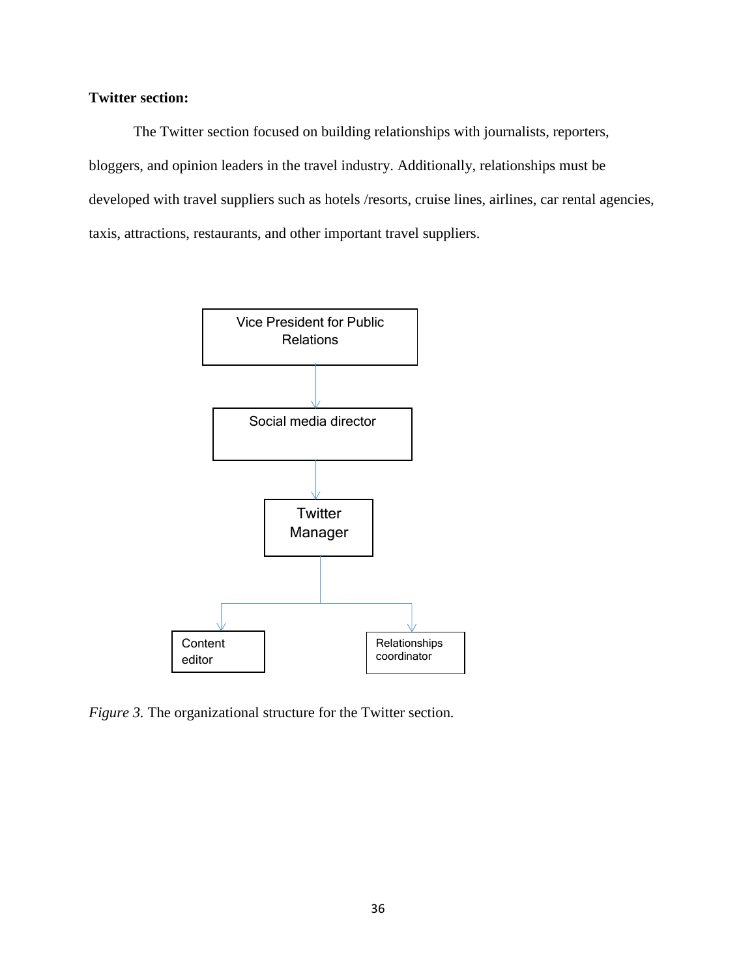# **Twitter section:**

The Twitter section focused on building relationships with journalists, reporters, bloggers, and opinion leaders in the travel industry. Additionally, relationships must be developed with travel suppliers such as hotels /resorts, cruise lines, airlines, car rental agencies, taxis, attractions, restaurants, and other important travel suppliers.



*Figure 3.* The organizational structure for the Twitter section*.*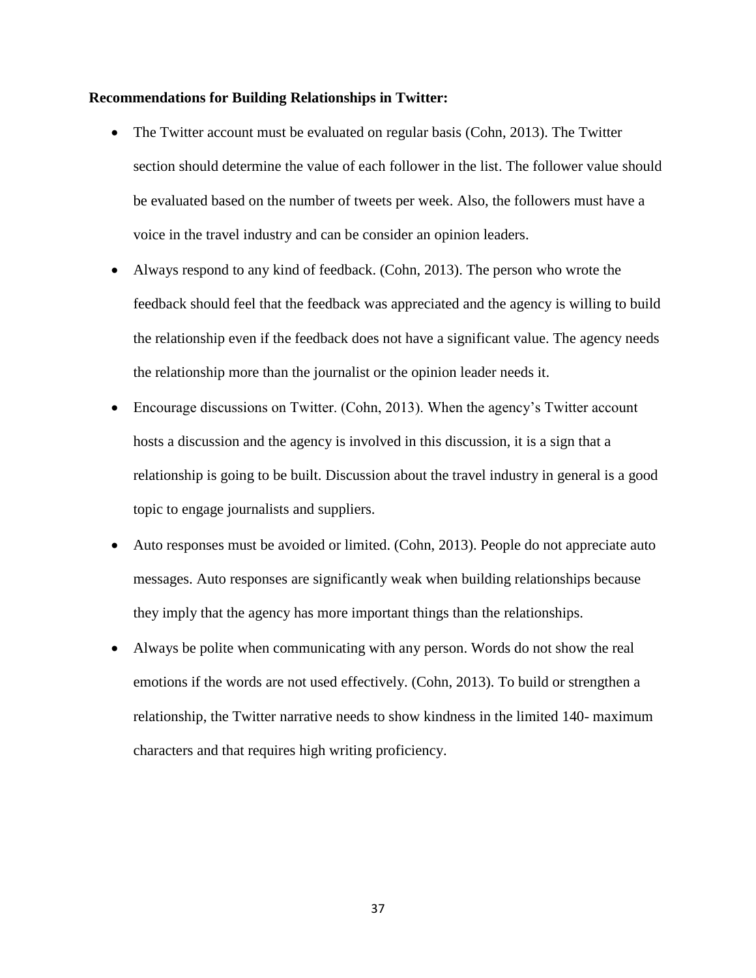#### **Recommendations for Building Relationships in Twitter:**

- The Twitter account must be evaluated on regular basis (Cohn, 2013). The Twitter section should determine the value of each follower in the list. The follower value should be evaluated based on the number of tweets per week. Also, the followers must have a voice in the travel industry and can be consider an opinion leaders.
- Always respond to any kind of feedback. (Cohn, 2013). The person who wrote the feedback should feel that the feedback was appreciated and the agency is willing to build the relationship even if the feedback does not have a significant value. The agency needs the relationship more than the journalist or the opinion leader needs it.
- Encourage discussions on Twitter. (Cohn, 2013). When the agency's Twitter account hosts a discussion and the agency is involved in this discussion, it is a sign that a relationship is going to be built. Discussion about the travel industry in general is a good topic to engage journalists and suppliers.
- Auto responses must be avoided or limited. (Cohn, 2013). People do not appreciate auto messages. Auto responses are significantly weak when building relationships because they imply that the agency has more important things than the relationships.
- Always be polite when communicating with any person. Words do not show the real emotions if the words are not used effectively. (Cohn, 2013). To build or strengthen a relationship, the Twitter narrative needs to show kindness in the limited 140- maximum characters and that requires high writing proficiency.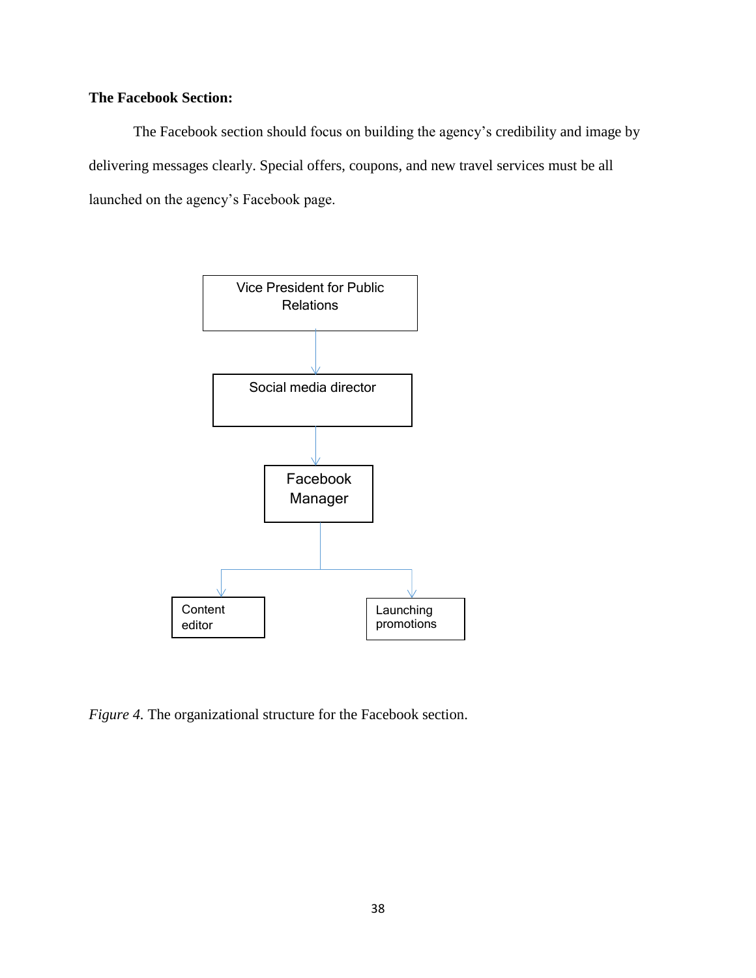# **The Facebook Section:**

The Facebook section should focus on building the agency's credibility and image by delivering messages clearly. Special offers, coupons, and new travel services must be all launched on the agency's Facebook page.



*Figure 4.* The organizational structure for the Facebook section.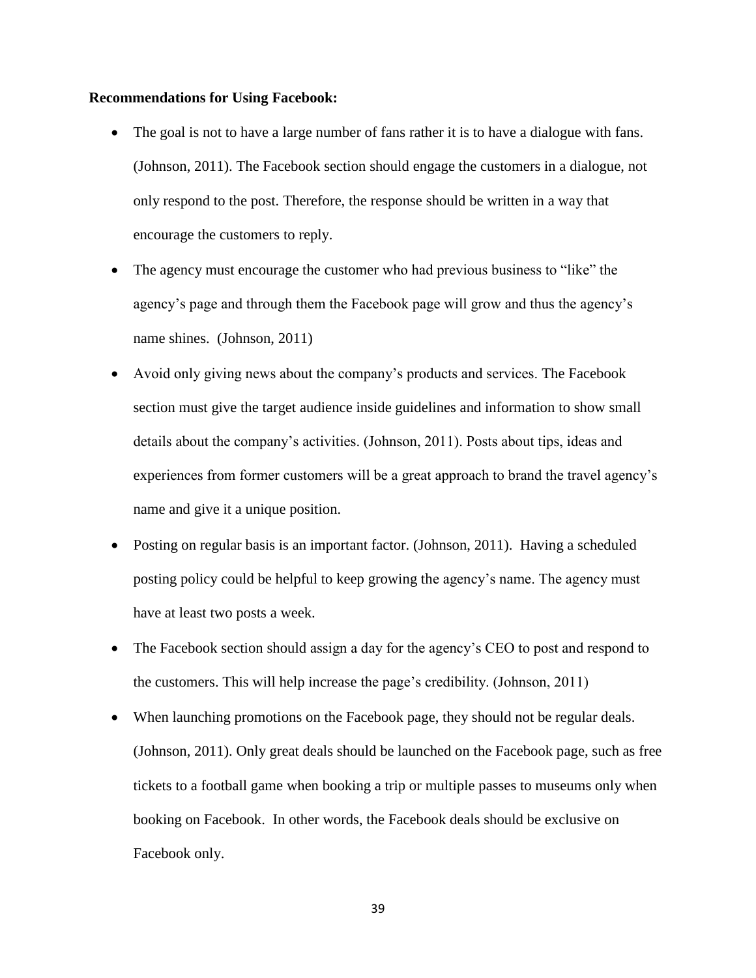#### **Recommendations for Using Facebook:**

- The goal is not to have a large number of fans rather it is to have a dialogue with fans. (Johnson, 2011). The Facebook section should engage the customers in a dialogue, not only respond to the post. Therefore, the response should be written in a way that encourage the customers to reply.
- The agency must encourage the customer who had previous business to "like" the agency's page and through them the Facebook page will grow and thus the agency's name shines. (Johnson, 2011)
- Avoid only giving news about the company's products and services. The Facebook section must give the target audience inside guidelines and information to show small details about the company's activities. (Johnson, 2011). Posts about tips, ideas and experiences from former customers will be a great approach to brand the travel agency's name and give it a unique position.
- Posting on regular basis is an important factor. (Johnson, 2011). Having a scheduled posting policy could be helpful to keep growing the agency's name. The agency must have at least two posts a week.
- The Facebook section should assign a day for the agency's CEO to post and respond to the customers. This will help increase the page's credibility. (Johnson, 2011)
- When launching promotions on the Facebook page, they should not be regular deals. (Johnson, 2011). Only great deals should be launched on the Facebook page, such as free tickets to a football game when booking a trip or multiple passes to museums only when booking on Facebook. In other words, the Facebook deals should be exclusive on Facebook only.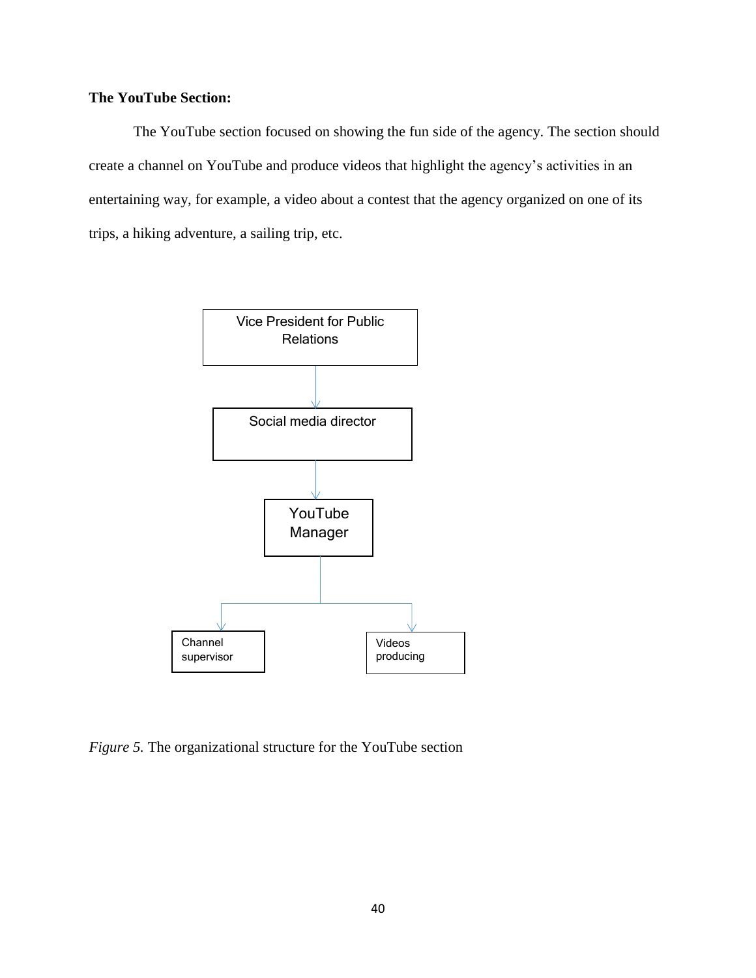# **The YouTube Section:**

The YouTube section focused on showing the fun side of the agency. The section should create a channel on YouTube and produce videos that highlight the agency's activities in an entertaining way, for example, a video about a contest that the agency organized on one of its trips, a hiking adventure, a sailing trip, etc.



*Figure 5.* The organizational structure for the YouTube section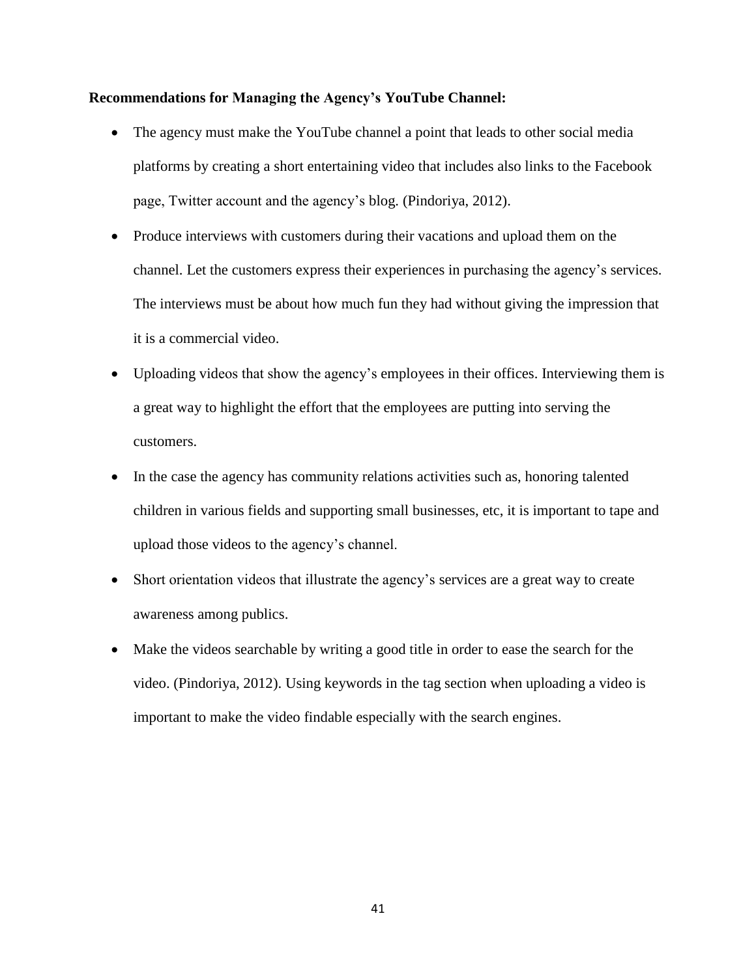### **Recommendations for Managing the Agency's YouTube Channel:**

- The agency must make the YouTube channel a point that leads to other social media platforms by creating a short entertaining video that includes also links to the Facebook page, Twitter account and the agency's blog. (Pindoriya, 2012).
- Produce interviews with customers during their vacations and upload them on the channel. Let the customers express their experiences in purchasing the agency's services. The interviews must be about how much fun they had without giving the impression that it is a commercial video.
- Uploading videos that show the agency's employees in their offices. Interviewing them is a great way to highlight the effort that the employees are putting into serving the customers.
- In the case the agency has community relations activities such as, honoring talented children in various fields and supporting small businesses, etc, it is important to tape and upload those videos to the agency's channel.
- Short orientation videos that illustrate the agency's services are a great way to create awareness among publics.
- Make the videos searchable by writing a good title in order to ease the search for the video. (Pindoriya, 2012). Using keywords in the tag section when uploading a video is important to make the video findable especially with the search engines.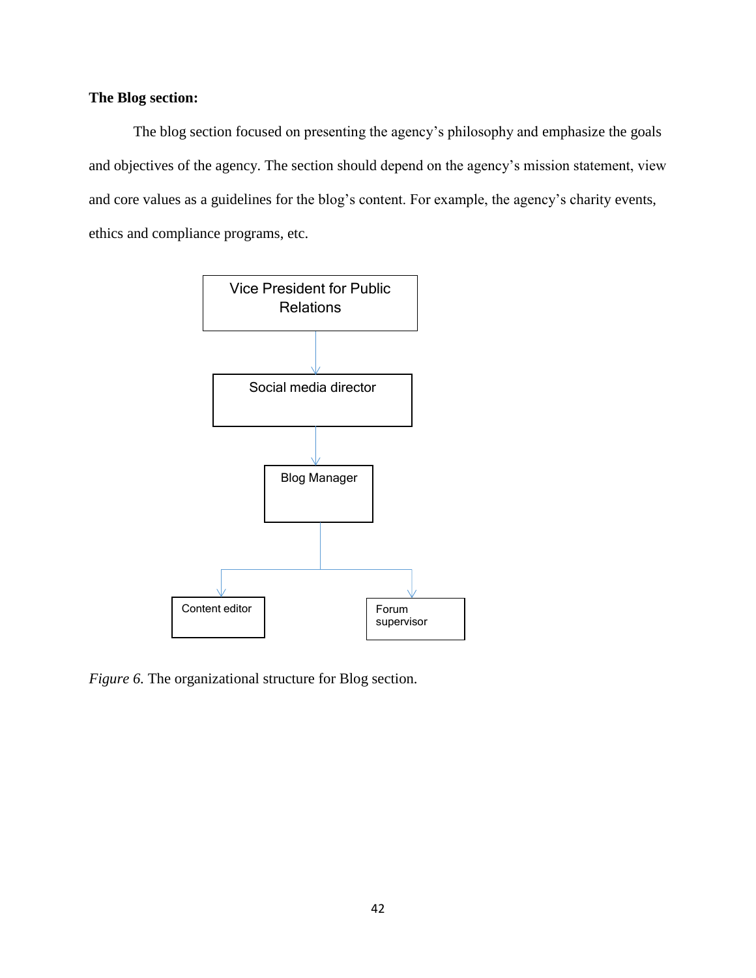# **The Blog section:**

The blog section focused on presenting the agency's philosophy and emphasize the goals and objectives of the agency. The section should depend on the agency's mission statement, view and core values as a guidelines for the blog's content. For example, the agency's charity events, ethics and compliance programs, etc.



*Figure 6.* The organizational structure for Blog section.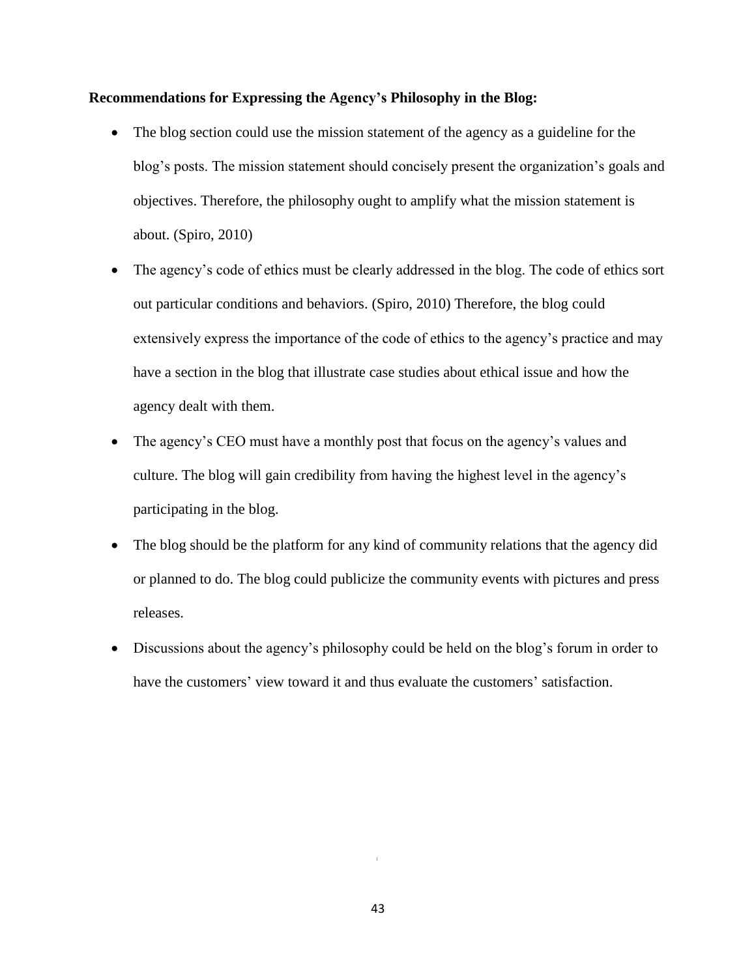### **Recommendations for Expressing the Agency's Philosophy in the Blog:**

- The blog section could use the mission statement of the agency as a guideline for the blog's posts. The mission statement should concisely present the organization's goals and objectives. Therefore, the philosophy ought to amplify what the mission statement is about. (Spiro, 2010)
- The agency's code of ethics must be clearly addressed in the blog. The code of ethics sort out particular conditions and behaviors. (Spiro, 2010) Therefore, the blog could extensively express the importance of the code of ethics to the agency's practice and may have a section in the blog that illustrate case studies about ethical issue and how the agency dealt with them.
- The agency's CEO must have a monthly post that focus on the agency's values and culture. The blog will gain credibility from having the highest level in the agency's participating in the blog.
- The blog should be the platform for any kind of community relations that the agency did or planned to do. The blog could publicize the community events with pictures and press releases.
- Discussions about the agency's philosophy could be held on the blog's forum in order to have the customers' view toward it and thus evaluate the customers' satisfaction.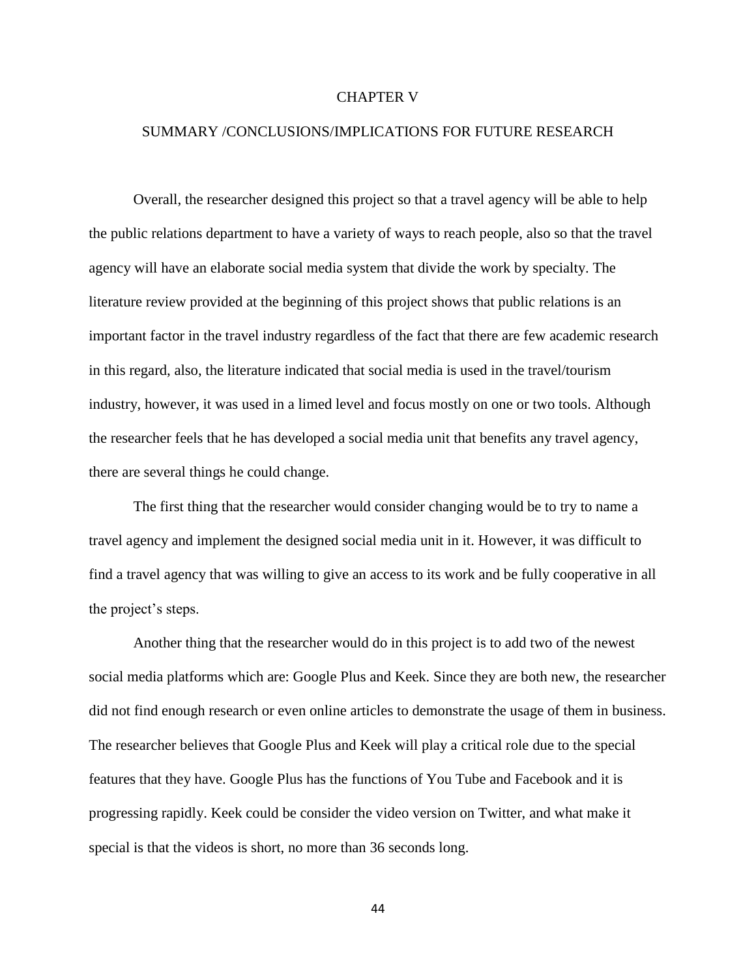### CHAPTER V

### SUMMARY /CONCLUSIONS/IMPLICATIONS FOR FUTURE RESEARCH

Overall, the researcher designed this project so that a travel agency will be able to help the public relations department to have a variety of ways to reach people, also so that the travel agency will have an elaborate social media system that divide the work by specialty. The literature review provided at the beginning of this project shows that public relations is an important factor in the travel industry regardless of the fact that there are few academic research in this regard, also, the literature indicated that social media is used in the travel/tourism industry, however, it was used in a limed level and focus mostly on one or two tools. Although the researcher feels that he has developed a social media unit that benefits any travel agency, there are several things he could change.

The first thing that the researcher would consider changing would be to try to name a travel agency and implement the designed social media unit in it. However, it was difficult to find a travel agency that was willing to give an access to its work and be fully cooperative in all the project's steps.

Another thing that the researcher would do in this project is to add two of the newest social media platforms which are: Google Plus and Keek. Since they are both new, the researcher did not find enough research or even online articles to demonstrate the usage of them in business. The researcher believes that Google Plus and Keek will play a critical role due to the special features that they have. Google Plus has the functions of You Tube and Facebook and it is progressing rapidly. Keek could be consider the video version on Twitter, and what make it special is that the videos is short, no more than 36 seconds long.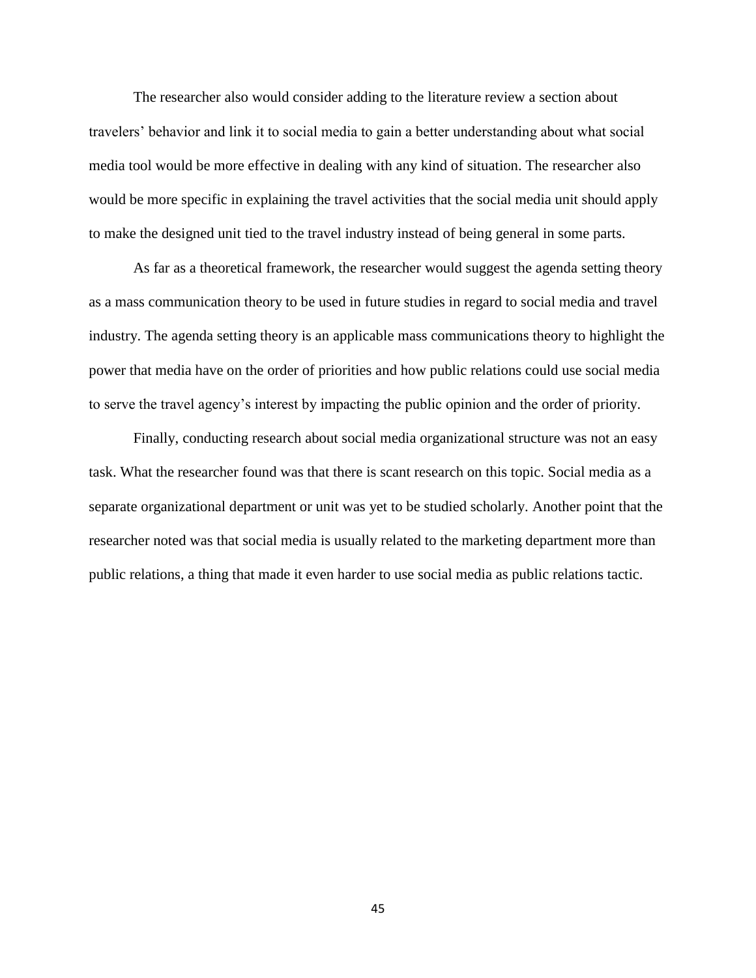The researcher also would consider adding to the literature review a section about travelers' behavior and link it to social media to gain a better understanding about what social media tool would be more effective in dealing with any kind of situation. The researcher also would be more specific in explaining the travel activities that the social media unit should apply to make the designed unit tied to the travel industry instead of being general in some parts.

As far as a theoretical framework, the researcher would suggest the agenda setting theory as a mass communication theory to be used in future studies in regard to social media and travel industry. The agenda setting theory is an applicable mass communications theory to highlight the power that media have on the order of priorities and how public relations could use social media to serve the travel agency's interest by impacting the public opinion and the order of priority.

Finally, conducting research about social media organizational structure was not an easy task. What the researcher found was that there is scant research on this topic. Social media as a separate organizational department or unit was yet to be studied scholarly. Another point that the researcher noted was that social media is usually related to the marketing department more than public relations, a thing that made it even harder to use social media as public relations tactic.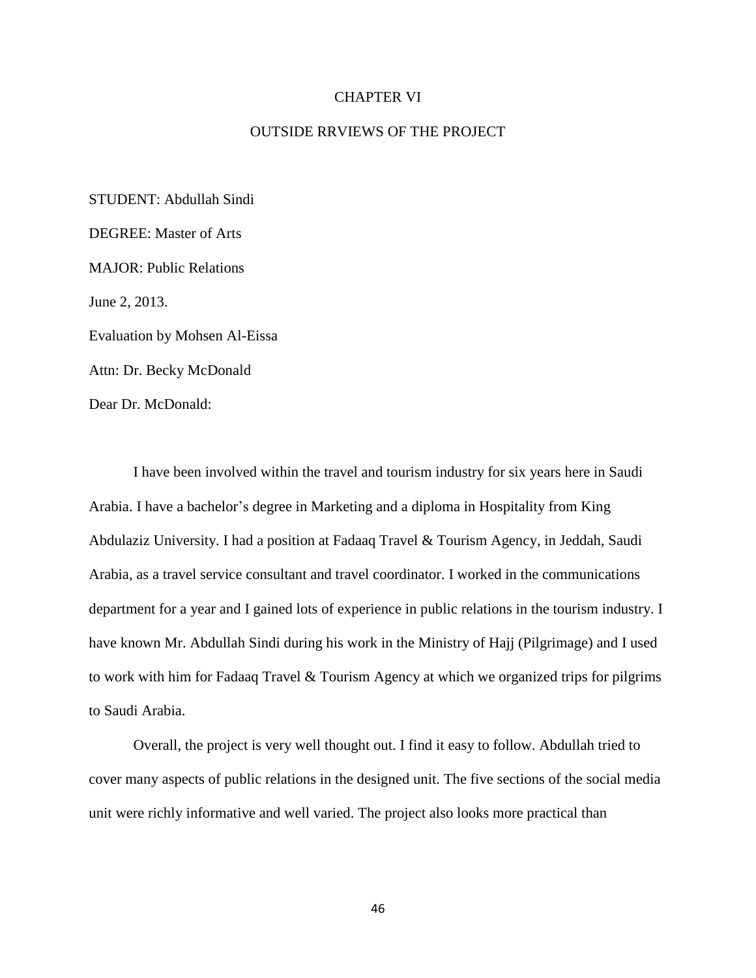### CHAPTER VI

### OUTSIDE RRVIEWS OF THE PROJECT

STUDENT: Abdullah Sindi DEGREE: Master of Arts MAJOR: Public Relations June 2, 2013. Evaluation by Mohsen Al-Eissa Attn: Dr. Becky McDonald Dear Dr. McDonald:

I have been involved within the travel and tourism industry for six years here in Saudi Arabia. I have a bachelor's degree in Marketing and a diploma in Hospitality from King Abdulaziz University. I had a position at Fadaaq Travel & Tourism Agency, in Jeddah, Saudi Arabia, as a travel service consultant and travel coordinator. I worked in the communications department for a year and I gained lots of experience in public relations in the tourism industry. I have known Mr. Abdullah Sindi during his work in the Ministry of Hajj (Pilgrimage) and I used to work with him for Fadaaq Travel & Tourism Agency at which we organized trips for pilgrims to Saudi Arabia.

Overall, the project is very well thought out. I find it easy to follow. Abdullah tried to cover many aspects of public relations in the designed unit. The five sections of the social media unit were richly informative and well varied. The project also looks more practical than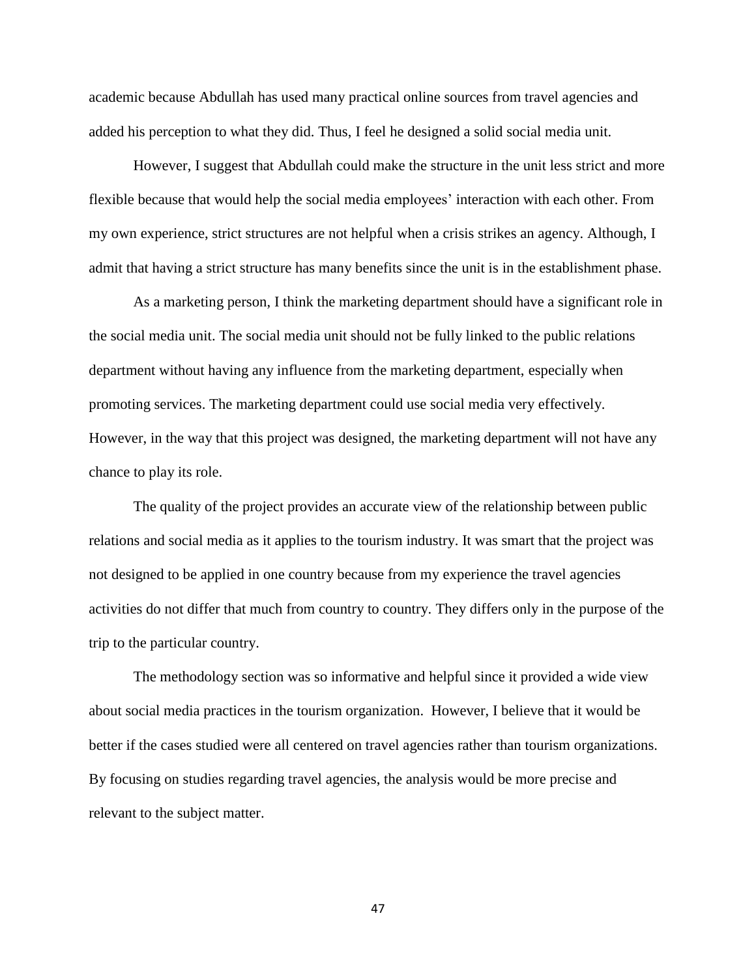academic because Abdullah has used many practical online sources from travel agencies and added his perception to what they did. Thus, I feel he designed a solid social media unit.

However, I suggest that Abdullah could make the structure in the unit less strict and more flexible because that would help the social media employees' interaction with each other. From my own experience, strict structures are not helpful when a crisis strikes an agency. Although, I admit that having a strict structure has many benefits since the unit is in the establishment phase.

As a marketing person, I think the marketing department should have a significant role in the social media unit. The social media unit should not be fully linked to the public relations department without having any influence from the marketing department, especially when promoting services. The marketing department could use social media very effectively. However, in the way that this project was designed, the marketing department will not have any chance to play its role.

The quality of the project provides an accurate view of the relationship between public relations and social media as it applies to the tourism industry. It was smart that the project was not designed to be applied in one country because from my experience the travel agencies activities do not differ that much from country to country. They differs only in the purpose of the trip to the particular country.

The methodology section was so informative and helpful since it provided a wide view about social media practices in the tourism organization. However, I believe that it would be better if the cases studied were all centered on travel agencies rather than tourism organizations. By focusing on studies regarding travel agencies, the analysis would be more precise and relevant to the subject matter.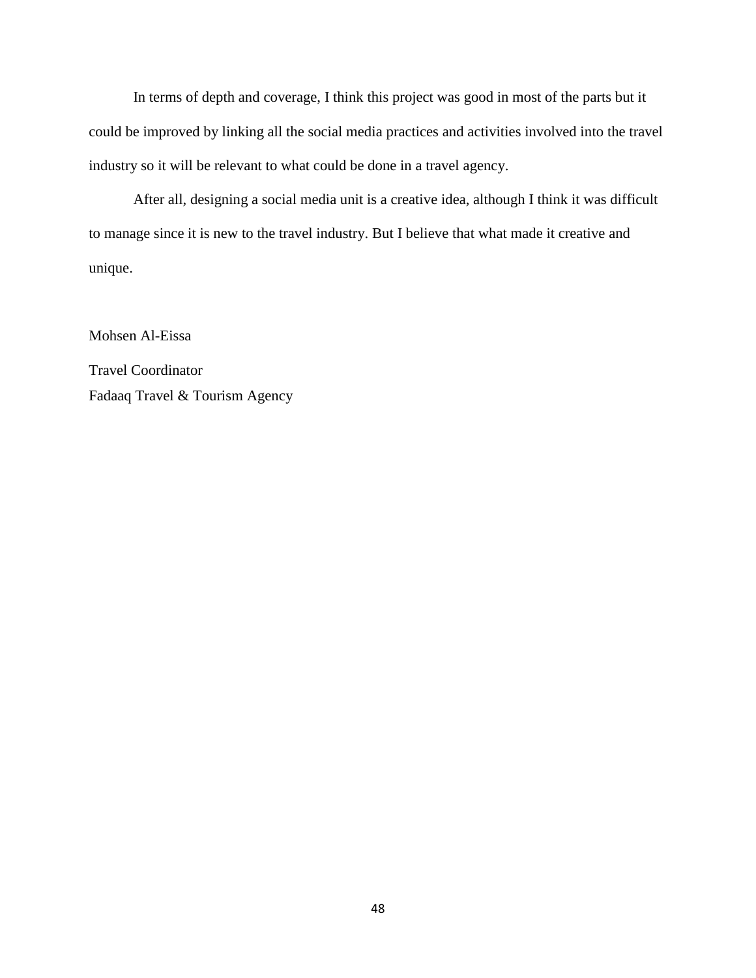In terms of depth and coverage, I think this project was good in most of the parts but it could be improved by linking all the social media practices and activities involved into the travel industry so it will be relevant to what could be done in a travel agency.

After all, designing a social media unit is a creative idea, although I think it was difficult to manage since it is new to the travel industry. But I believe that what made it creative and unique.

Mohsen Al-Eissa Travel Coordinator Fadaaq Travel & Tourism Agency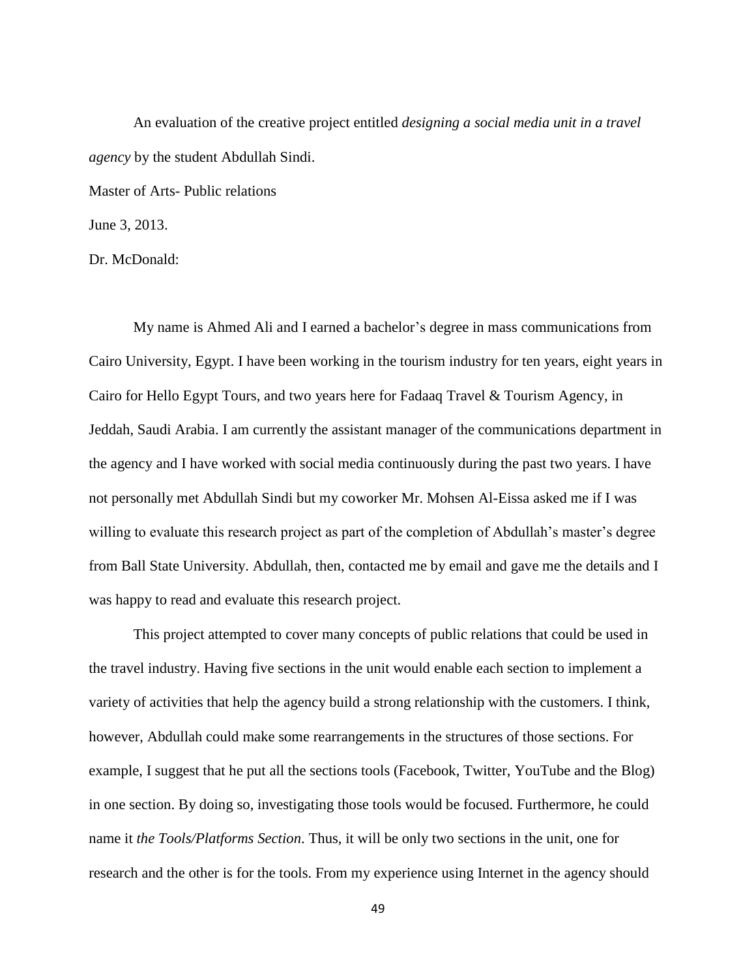An evaluation of the creative project entitled *designing a social media unit in a travel agency* by the student Abdullah Sindi.

Master of Arts- Public relations

June 3, 2013.

Dr. McDonald:

My name is Ahmed Ali and I earned a bachelor's degree in mass communications from Cairo University, Egypt. I have been working in the tourism industry for ten years, eight years in Cairo for Hello Egypt Tours, and two years here for Fadaaq Travel & Tourism Agency, in Jeddah, Saudi Arabia. I am currently the assistant manager of the communications department in the agency and I have worked with social media continuously during the past two years. I have not personally met Abdullah Sindi but my coworker Mr. Mohsen Al-Eissa asked me if I was willing to evaluate this research project as part of the completion of Abdullah's master's degree from Ball State University. Abdullah, then, contacted me by email and gave me the details and I was happy to read and evaluate this research project.

This project attempted to cover many concepts of public relations that could be used in the travel industry. Having five sections in the unit would enable each section to implement a variety of activities that help the agency build a strong relationship with the customers. I think, however, Abdullah could make some rearrangements in the structures of those sections. For example, I suggest that he put all the sections tools (Facebook, Twitter, YouTube and the Blog) in one section. By doing so, investigating those tools would be focused. Furthermore, he could name it *the Tools/Platforms Section*. Thus, it will be only two sections in the unit, one for research and the other is for the tools. From my experience using Internet in the agency should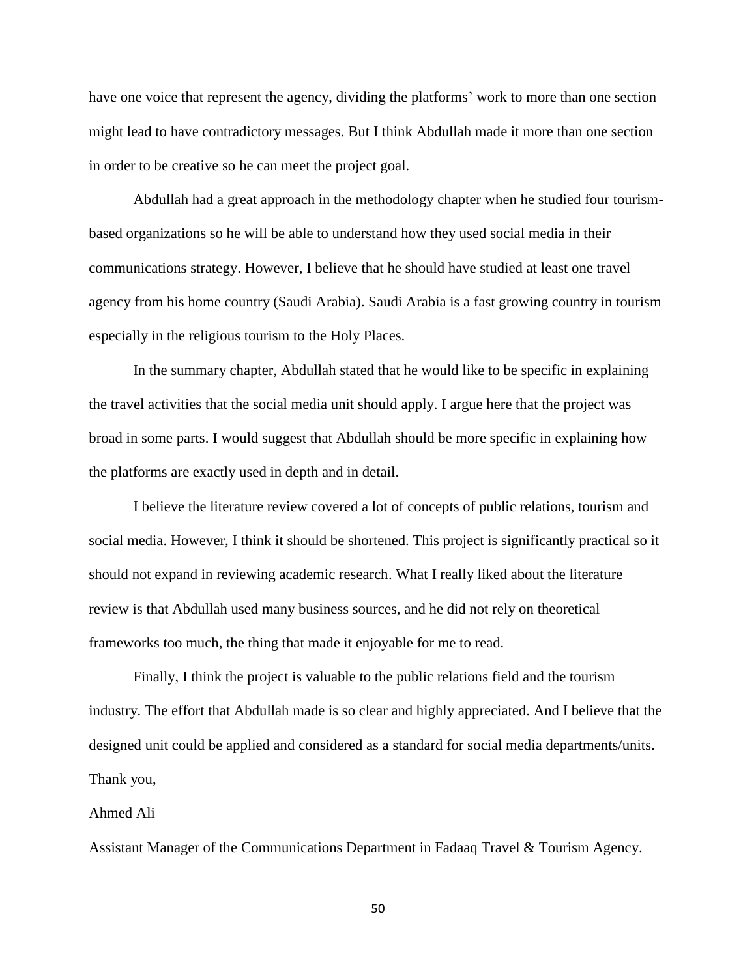have one voice that represent the agency, dividing the platforms' work to more than one section might lead to have contradictory messages. But I think Abdullah made it more than one section in order to be creative so he can meet the project goal.

Abdullah had a great approach in the methodology chapter when he studied four tourismbased organizations so he will be able to understand how they used social media in their communications strategy. However, I believe that he should have studied at least one travel agency from his home country (Saudi Arabia). Saudi Arabia is a fast growing country in tourism especially in the religious tourism to the Holy Places.

In the summary chapter, Abdullah stated that he would like to be specific in explaining the travel activities that the social media unit should apply. I argue here that the project was broad in some parts. I would suggest that Abdullah should be more specific in explaining how the platforms are exactly used in depth and in detail.

I believe the literature review covered a lot of concepts of public relations, tourism and social media. However, I think it should be shortened. This project is significantly practical so it should not expand in reviewing academic research. What I really liked about the literature review is that Abdullah used many business sources, and he did not rely on theoretical frameworks too much, the thing that made it enjoyable for me to read.

Finally, I think the project is valuable to the public relations field and the tourism industry. The effort that Abdullah made is so clear and highly appreciated. And I believe that the designed unit could be applied and considered as a standard for social media departments/units. Thank you,

### Ahmed Ali

Assistant Manager of the Communications Department in Fadaaq Travel & Tourism Agency.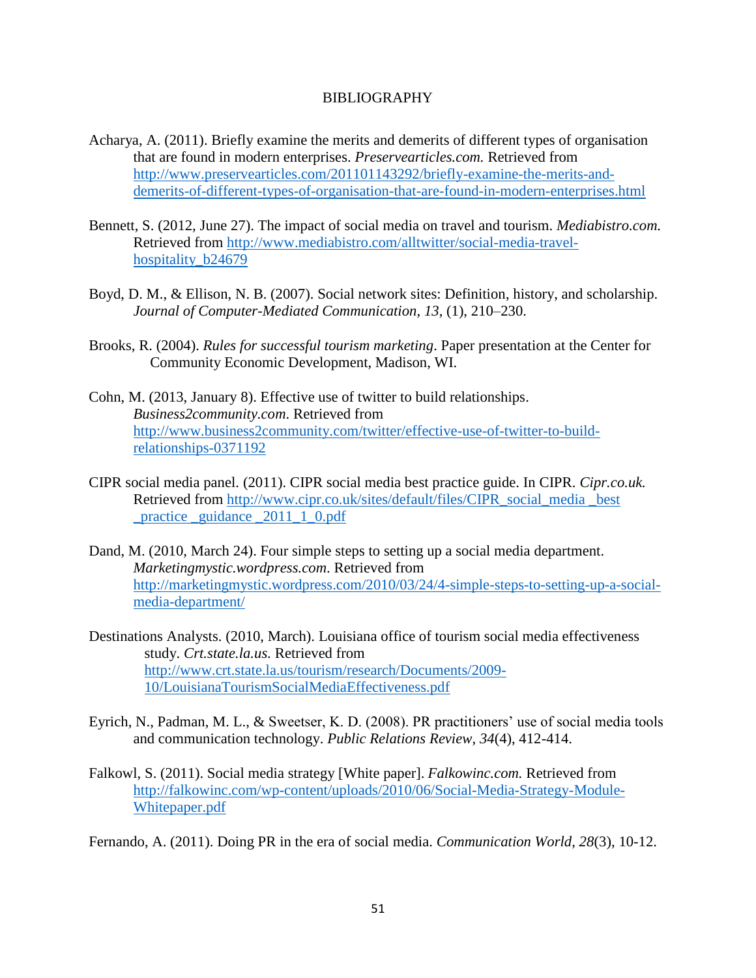### BIBLIOGRAPHY

- Acharya, A. (2011). Briefly examine the merits and demerits of different types of organisation that are found in modern enterprises. *Preservearticles.com.* Retrieved from [http://www.preservearticles.com/201101143292/briefly-examine-the-merits-and](http://www.preservearticles.com/201101143292/briefly-examine-the-merits-and-demerits-of-different-types-of-organisation-that-are-found-in-modern-enterprises.html)[demerits-of-different-types-of-organisation-that-are-found-in-modern-enterprises.html](http://www.preservearticles.com/201101143292/briefly-examine-the-merits-and-demerits-of-different-types-of-organisation-that-are-found-in-modern-enterprises.html)
- Bennett, S. (2012, June 27). The impact of social media on travel and tourism. *Mediabistro.com.* Retrieved from [http://www.mediabistro.com/alltwitter/social-media-travel](http://www.mediabistro.com/alltwitter/social-media-travel-hospitality_b24679)hospitality b24679
- Boyd, D. M., & Ellison, N. B. (2007). Social network sites: Definition, history, and scholarship. *Journal of Computer-Mediated Communication*, *13*, (1), 210–230.
- Brooks, R. (2004). *Rules for successful tourism marketing*. Paper presentation at the Center for Community Economic Development, Madison, WI.
- Cohn, M. (2013, January 8). Effective use of twitter to build relationships. *Business2community.com*. Retrieved from [http://www.business2community.com/twitter/effective-use-of-twitter-to-build](http://www.business2community.com/twitter/effective-use-of-twitter-to-build-relationships-0371192)[relationships-0371192](http://www.business2community.com/twitter/effective-use-of-twitter-to-build-relationships-0371192)
- CIPR social media panel. (2011). CIPR social media best practice guide. In CIPR. *Cipr.co.uk.* Retrieved from [http://www.cipr.co.uk/sites/default/files/CIPR\\_social\\_media \\_best](http://www.cipr.co.uk/sites/default/files/CIPR_social_media%20_best%20_practice%20_guidance%20_2011_1_0.pdf)  practice guidance  $2011 \t1 0.pdf$
- Dand, M. (2010, March 24). Four simple steps to setting up a social media department. *Marketingmystic.wordpress.com*. Retrieved from [http://marketingmystic.wordpress.com/2010/03/24/4-simple-steps-to-setting-up-a-social](http://marketingmystic.wordpress.com/2010/03/24/4-simple-steps-to-setting-up-a-social-media-department/)[media-department/](http://marketingmystic.wordpress.com/2010/03/24/4-simple-steps-to-setting-up-a-social-media-department/)
- Destinations Analysts. (2010, March). Louisiana office of tourism social media effectiveness study. *Crt.state.la.us.* Retrieved from [http://www.crt.state.la.us/tourism/research/Documents/2009-](http://www.crt.state.la.us/tourism/research/Documents/2009-10/LouisianaTourismSocialMediaEffectiveness.pdf) [10/LouisianaTourismSocialMediaEffectiveness.pdf](http://www.crt.state.la.us/tourism/research/Documents/2009-10/LouisianaTourismSocialMediaEffectiveness.pdf)
- Eyrich, N., Padman, M. L., & Sweetser, K. D. (2008). PR practitioners' use of social media tools and communication technology. *Public Relations Review*, *34*(4), 412-414.
- Falkowl, S. (2011). Social media strategy [White paper]. *Falkowinc.com.* Retrieved from [http://falkowinc.com/wp-content/uploads/2010/06/Social-Media-Strategy-Module-](http://falkowinc.com/wp-content/uploads/2010/06/Social-Media-Strategy-Module-Whitepaper.pdf)[Whitepaper.pdf](http://falkowinc.com/wp-content/uploads/2010/06/Social-Media-Strategy-Module-Whitepaper.pdf)

Fernando, A. (2011). Doing PR in the era of social media. *Communication World, 28*(3), 10-12.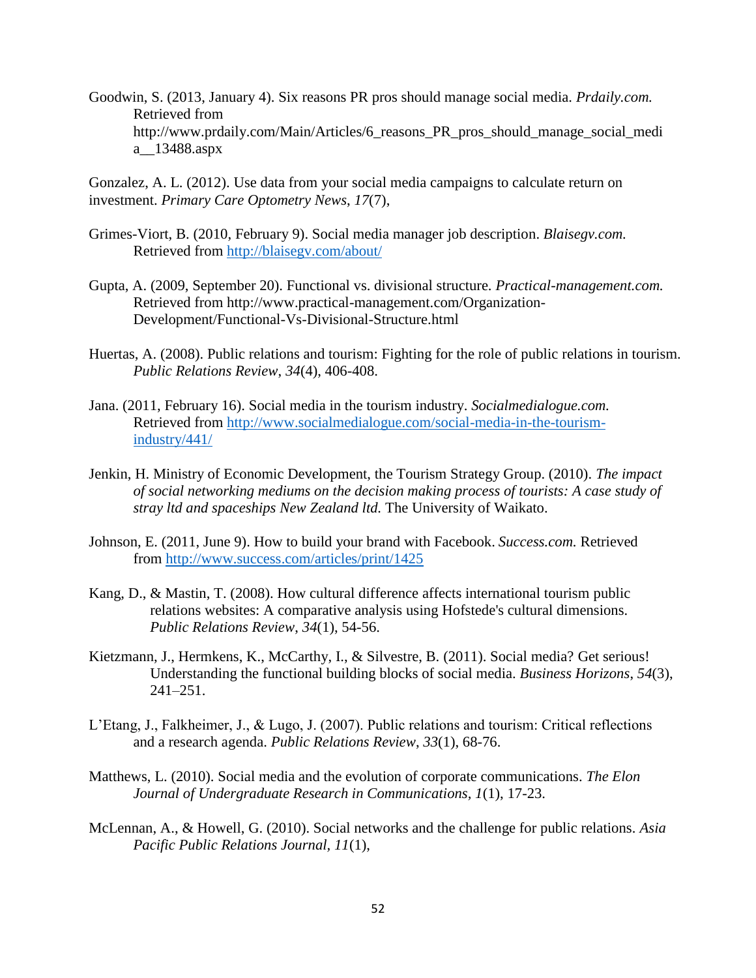Goodwin, S. (2013, January 4). Six reasons PR pros should manage social media. *Prdaily.com.* Retrieved from http://www.prdaily.com/Main/Articles/6\_reasons\_PR\_pros\_should\_manage\_social\_medi a\_\_13488.aspx

Gonzalez, A. L. (2012). Use data from your social media campaigns to calculate return on investment. *Primary Care Optometry News*, *17*(7),

- Grimes-Viort, B. (2010, February 9). Social media manager job description. *Blaisegv.com.* Retrieved from<http://blaisegv.com/about/>
- Gupta, A. (2009, September 20). Functional vs. divisional structure. *Practical-management.com.* Retrieved from http://www.practical-management.com/Organization-Development/Functional-Vs-Divisional-Structure.html
- Huertas, A. (2008). Public relations and tourism: Fighting for the role of public relations in tourism. *Public Relations Review*, *34*(4), 406-408.
- Jana. (2011, February 16). Social media in the tourism industry. *Socialmedialogue.com.* Retrieved from [http://www.socialmedialogue.com/social-media-in-the-tourism](http://www.socialmedialogue.com/social-media-in-the-tourism-industry/441/)[industry/441/](http://www.socialmedialogue.com/social-media-in-the-tourism-industry/441/)
- Jenkin, H. Ministry of Economic Development, the Tourism Strategy Group. (2010). *The impact of social networking mediums on the decision making process of tourists: A case study of stray ltd and spaceships New Zealand ltd.* The University of Waikato.
- Johnson, E. (2011, June 9). How to build your brand with Facebook. *Success.com.* Retrieved from<http://www.success.com/articles/print/1425>
- Kang, D., & Mastin, T. (2008). How cultural difference affects international tourism public relations websites: A comparative analysis using Hofstede's cultural dimensions. *Public Relations Review*, *34*(1), 54-56.
- Kietzmann, J., Hermkens, K., McCarthy, I., & Silvestre, B. (2011). Social media? Get serious! Understanding the functional building blocks of social media. *Business Horizons*, *54*(3), 241–251.
- L'Etang, J., Falkheimer, J., & Lugo, J. (2007). Public relations and tourism: Critical reflections and a research agenda. *Public Relations Review*, *33*(1), 68-76.
- Matthews, L. (2010). Social media and the evolution of corporate communications. *The Elon Journal of Undergraduate Research in Communications, 1*(1), 17-23.
- McLennan, A., & Howell, G. (2010). Social networks and the challenge for public relations. *Asia Pacific Public Relations Journal, 11*(1),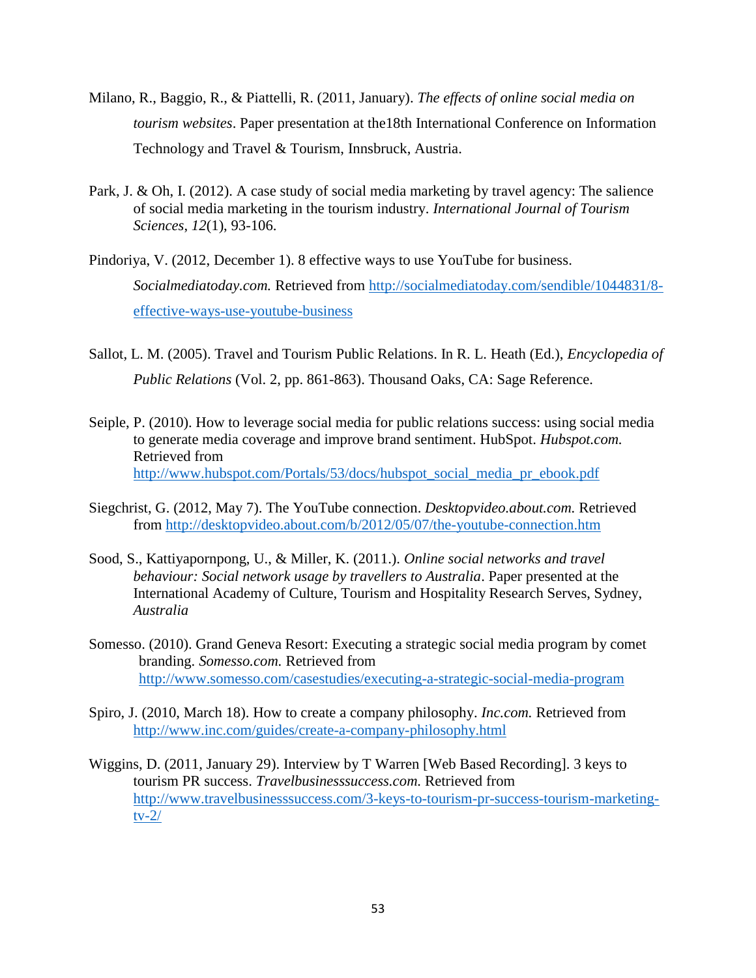- Milano, R., Baggio, R., & Piattelli, R. (2011, January). *The effects of online social media on tourism websites*. Paper presentation at the18th International Conference on Information Technology and Travel & Tourism, Innsbruck, Austria.
- Park, J. & Oh, I. (2012). A case study of social media marketing by travel agency: The salience of social media marketing in the tourism industry. *International Journal of Tourism Sciences*, *12*(1), 93-106.
- Pindoriya, V. (2012, December 1). 8 effective ways to use YouTube for business. *Socialmediatoday.com.* Retrieved from [http://socialmediatoday.com/sendible/1044831/8](http://socialmediatoday.com/sendible/1044831/8-effective-ways-use-youtube-business) [effective-ways-use-youtube-business](http://socialmediatoday.com/sendible/1044831/8-effective-ways-use-youtube-business)
- Sallot, L. M. (2005). Travel and Tourism Public Relations. In R. L. Heath (Ed.), *Encyclopedia of Public Relations* (Vol. 2, pp. 861-863). Thousand Oaks, CA: Sage Reference.
- Seiple, P. (2010). How to leverage social media for public relations success: using social media to generate media coverage and improve brand sentiment. HubSpot. *Hubspot.com.* Retrieved from [http://www.hubspot.com/Portals/53/docs/hubspot\\_social\\_media\\_pr\\_ebook.pdf](http://www.hubspot.com/Portals/53/docs/hubspot_social_media_pr_ebook.pdf)
- Siegchrist, G. (2012, May 7). The YouTube connection. *Desktopvideo.about.com.* Retrieved from<http://desktopvideo.about.com/b/2012/05/07/the-youtube-connection.htm>
- Sood, S., Kattiyapornpong, U., & Miller, K. (2011.). *Online social networks and travel behaviour: Social network usage by travellers to Australia*. Paper presented at the International Academy of Culture, Tourism and Hospitality Research Serves, Sydney, *Australia*
- Somesso. (2010). Grand Geneva Resort: Executing a strategic social media program by comet branding. *Somesso.com.* Retrieved from <http://www.somesso.com/casestudies/executing-a-strategic-social-media-program>
- Spiro, J. (2010, March 18). How to create a company philosophy. *Inc.com.* Retrieved from <http://www.inc.com/guides/create-a-company-philosophy.html>
- Wiggins, D. (2011, January 29). Interview by T Warren [Web Based Recording]. 3 keys to tourism PR success. *Travelbusinesssuccess.com.* Retrieved from [http://www.travelbusinesssuccess.com/3-keys-to-tourism-pr-success-tourism-marketing](http://www.travelbusinesssuccess.com/3-keys-to-tourism-pr-success-tourism-marketing-tv-2/)[tv-2/](http://www.travelbusinesssuccess.com/3-keys-to-tourism-pr-success-tourism-marketing-tv-2/)